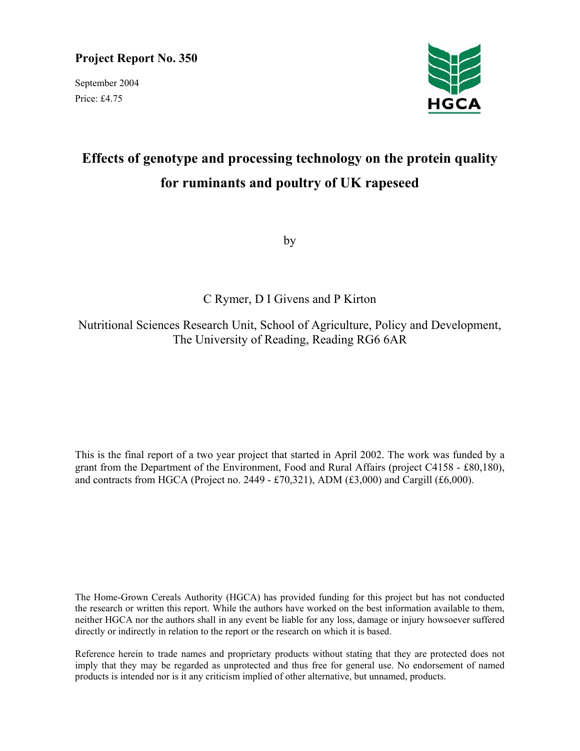# **Project Report No. 350**

September 2004 Price: £4.75



# **Effects of genotype and processing technology on the protein quality for ruminants and poultry of UK rapeseed**

by

C Rymer, D I Givens and P Kirton

Nutritional Sciences Research Unit, School of Agriculture, Policy and Development, The University of Reading, Reading RG6 6AR

This is the final report of a two year project that started in April 2002. The work was funded by a grant from the Department of the Environment, Food and Rural Affairs (project C4158 - £80,180), and contracts from HGCA (Project no. 2449 - £70,321), ADM (£3,000) and Cargill (£6,000).

The Home-Grown Cereals Authority (HGCA) has provided funding for this project but has not conducted the research or written this report. While the authors have worked on the best information available to them, neither HGCA nor the authors shall in any event be liable for any loss, damage or injury howsoever suffered directly or indirectly in relation to the report or the research on which it is based.

Reference herein to trade names and proprietary products without stating that they are protected does not imply that they may be regarded as unprotected and thus free for general use. No endorsement of named products is intended nor is it any criticism implied of other alternative, but unnamed, products.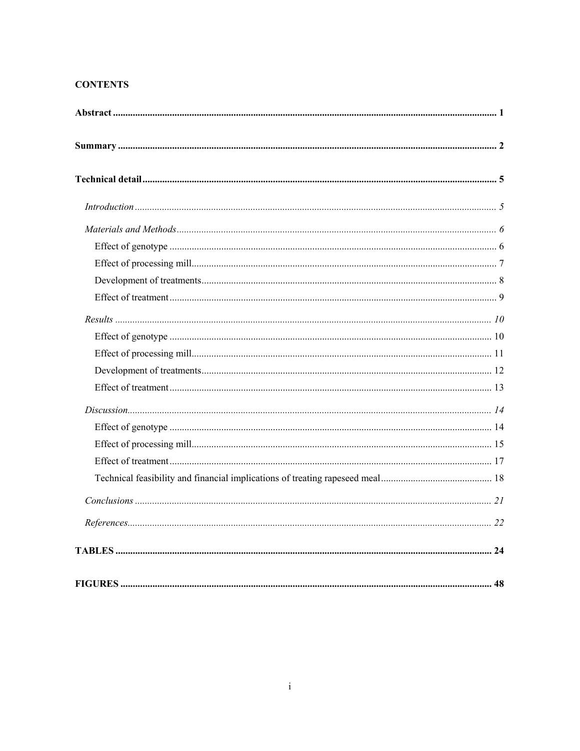# **CONTENTS**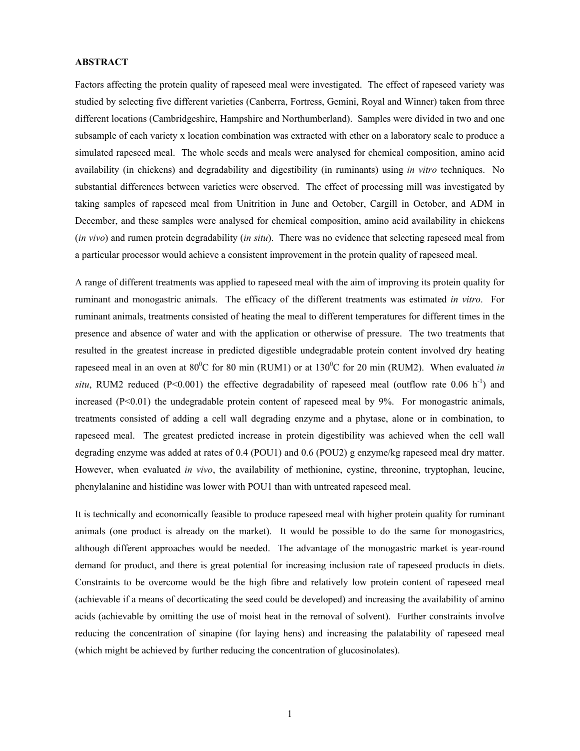## **ABSTRACT**

Factors affecting the protein quality of rapeseed meal were investigated. The effect of rapeseed variety was studied by selecting five different varieties (Canberra, Fortress, Gemini, Royal and Winner) taken from three different locations (Cambridgeshire, Hampshire and Northumberland). Samples were divided in two and one subsample of each variety x location combination was extracted with ether on a laboratory scale to produce a simulated rapeseed meal. The whole seeds and meals were analysed for chemical composition, amino acid availability (in chickens) and degradability and digestibility (in ruminants) using *in vitro* techniques. No substantial differences between varieties were observed. The effect of processing mill was investigated by taking samples of rapeseed meal from Unitrition in June and October, Cargill in October, and ADM in December, and these samples were analysed for chemical composition, amino acid availability in chickens (*in vivo*) and rumen protein degradability (*in situ*). There was no evidence that selecting rapeseed meal from a particular processor would achieve a consistent improvement in the protein quality of rapeseed meal.

A range of different treatments was applied to rapeseed meal with the aim of improving its protein quality for ruminant and monogastric animals. The efficacy of the different treatments was estimated *in vitro*. For ruminant animals, treatments consisted of heating the meal to different temperatures for different times in the presence and absence of water and with the application or otherwise of pressure. The two treatments that resulted in the greatest increase in predicted digestible undegradable protein content involved dry heating rapeseed meal in an oven at  $80^{\circ}$ C for 80 min (RUM1) or at  $130^{\circ}$ C for 20 min (RUM2). When evaluated *in situ*, RUM2 reduced (P<0.001) the effective degradability of rapeseed meal (outflow rate 0.06 h<sup>-1</sup>) and increased (P<0.01) the undegradable protein content of rapeseed meal by 9%. For monogastric animals, treatments consisted of adding a cell wall degrading enzyme and a phytase, alone or in combination, to rapeseed meal. The greatest predicted increase in protein digestibility was achieved when the cell wall degrading enzyme was added at rates of 0.4 (POU1) and 0.6 (POU2) g enzyme/kg rapeseed meal dry matter. However, when evaluated *in vivo*, the availability of methionine, cystine, threonine, tryptophan, leucine, phenylalanine and histidine was lower with POU1 than with untreated rapeseed meal.

It is technically and economically feasible to produce rapeseed meal with higher protein quality for ruminant animals (one product is already on the market). It would be possible to do the same for monogastrics, although different approaches would be needed. The advantage of the monogastric market is year-round demand for product, and there is great potential for increasing inclusion rate of rapeseed products in diets. Constraints to be overcome would be the high fibre and relatively low protein content of rapeseed meal (achievable if a means of decorticating the seed could be developed) and increasing the availability of amino acids (achievable by omitting the use of moist heat in the removal of solvent). Further constraints involve reducing the concentration of sinapine (for laying hens) and increasing the palatability of rapeseed meal (which might be achieved by further reducing the concentration of glucosinolates).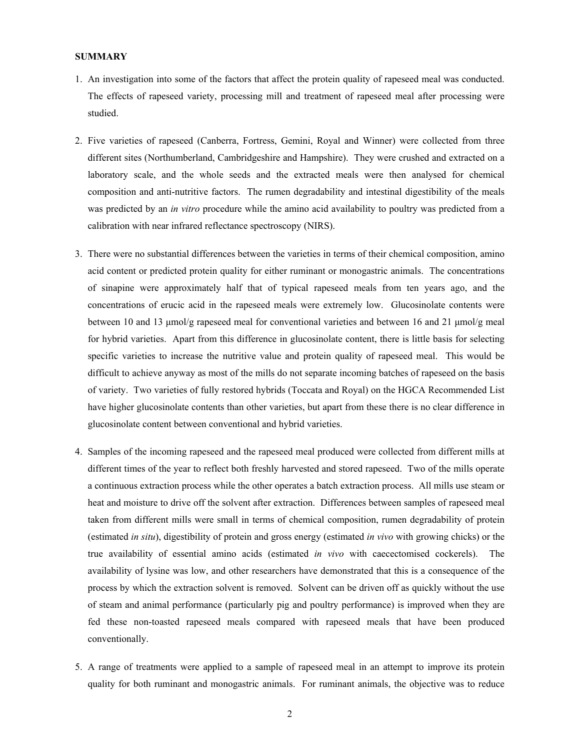## **SUMMARY**

- 1. An investigation into some of the factors that affect the protein quality of rapeseed meal was conducted. The effects of rapeseed variety, processing mill and treatment of rapeseed meal after processing were studied.
- 2. Five varieties of rapeseed (Canberra, Fortress, Gemini, Royal and Winner) were collected from three different sites (Northumberland, Cambridgeshire and Hampshire). They were crushed and extracted on a laboratory scale, and the whole seeds and the extracted meals were then analysed for chemical composition and anti-nutritive factors. The rumen degradability and intestinal digestibility of the meals was predicted by an *in vitro* procedure while the amino acid availability to poultry was predicted from a calibration with near infrared reflectance spectroscopy (NIRS).
- 3. There were no substantial differences between the varieties in terms of their chemical composition, amino acid content or predicted protein quality for either ruminant or monogastric animals. The concentrations of sinapine were approximately half that of typical rapeseed meals from ten years ago, and the concentrations of erucic acid in the rapeseed meals were extremely low. Glucosinolate contents were between 10 and 13  $\mu$ mol/g rapeseed meal for conventional varieties and between 16 and 21  $\mu$ mol/g meal for hybrid varieties. Apart from this difference in glucosinolate content, there is little basis for selecting specific varieties to increase the nutritive value and protein quality of rapeseed meal. This would be difficult to achieve anyway as most of the mills do not separate incoming batches of rapeseed on the basis of variety. Two varieties of fully restored hybrids (Toccata and Royal) on the HGCA Recommended List have higher glucosinolate contents than other varieties, but apart from these there is no clear difference in glucosinolate content between conventional and hybrid varieties.
- 4. Samples of the incoming rapeseed and the rapeseed meal produced were collected from different mills at different times of the year to reflect both freshly harvested and stored rapeseed. Two of the mills operate a continuous extraction process while the other operates a batch extraction process. All mills use steam or heat and moisture to drive off the solvent after extraction. Differences between samples of rapeseed meal taken from different mills were small in terms of chemical composition, rumen degradability of protein (estimated *in situ*), digestibility of protein and gross energy (estimated *in vivo* with growing chicks) or the true availability of essential amino acids (estimated *in vivo* with caecectomised cockerels). The availability of lysine was low, and other researchers have demonstrated that this is a consequence of the process by which the extraction solvent is removed. Solvent can be driven off as quickly without the use of steam and animal performance (particularly pig and poultry performance) is improved when they are fed these non-toasted rapeseed meals compared with rapeseed meals that have been produced conventionally.
- 5. A range of treatments were applied to a sample of rapeseed meal in an attempt to improve its protein quality for both ruminant and monogastric animals. For ruminant animals, the objective was to reduce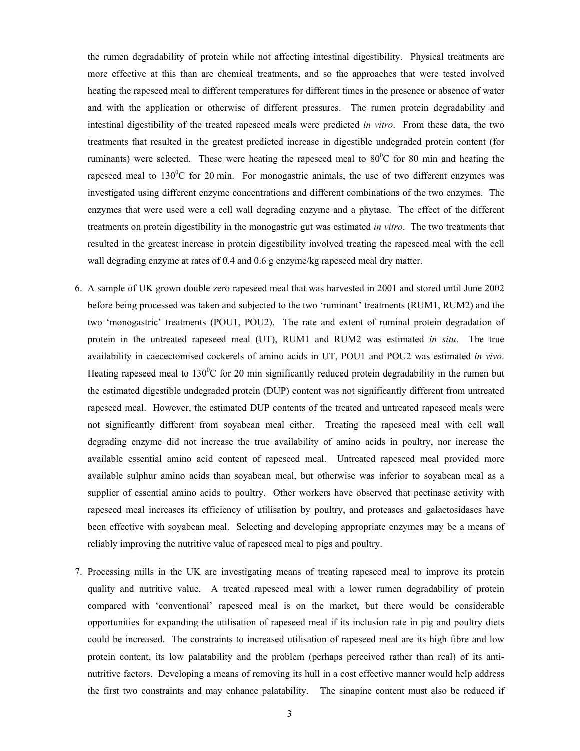the rumen degradability of protein while not affecting intestinal digestibility. Physical treatments are more effective at this than are chemical treatments, and so the approaches that were tested involved heating the rapeseed meal to different temperatures for different times in the presence or absence of water and with the application or otherwise of different pressures. The rumen protein degradability and intestinal digestibility of the treated rapeseed meals were predicted *in vitro*. From these data, the two treatments that resulted in the greatest predicted increase in digestible undegraded protein content (for ruminants) were selected. These were heating the rapeseed meal to  $80^{\circ}$ C for 80 min and heating the rapeseed meal to  $130^{\circ}$ C for 20 min. For monogastric animals, the use of two different enzymes was investigated using different enzyme concentrations and different combinations of the two enzymes. The enzymes that were used were a cell wall degrading enzyme and a phytase. The effect of the different treatments on protein digestibility in the monogastric gut was estimated *in vitro*. The two treatments that resulted in the greatest increase in protein digestibility involved treating the rapeseed meal with the cell wall degrading enzyme at rates of 0.4 and 0.6 g enzyme/kg rapeseed meal dry matter.

- 6. A sample of UK grown double zero rapeseed meal that was harvested in 2001 and stored until June 2002 before being processed was taken and subjected to the two 'ruminant' treatments (RUM1, RUM2) and the two 'monogastric' treatments (POU1, POU2). The rate and extent of ruminal protein degradation of protein in the untreated rapeseed meal (UT), RUM1 and RUM2 was estimated *in situ*. The true availability in caecectomised cockerels of amino acids in UT, POU1 and POU2 was estimated *in vivo*. Heating rapeseed meal to  $130^{\circ}$ C for 20 min significantly reduced protein degradability in the rumen but the estimated digestible undegraded protein (DUP) content was not significantly different from untreated rapeseed meal. However, the estimated DUP contents of the treated and untreated rapeseed meals were not significantly different from soyabean meal either. Treating the rapeseed meal with cell wall degrading enzyme did not increase the true availability of amino acids in poultry, nor increase the available essential amino acid content of rapeseed meal. Untreated rapeseed meal provided more available sulphur amino acids than soyabean meal, but otherwise was inferior to soyabean meal as a supplier of essential amino acids to poultry. Other workers have observed that pectinase activity with rapeseed meal increases its efficiency of utilisation by poultry, and proteases and galactosidases have been effective with soyabean meal. Selecting and developing appropriate enzymes may be a means of reliably improving the nutritive value of rapeseed meal to pigs and poultry.
- 7. Processing mills in the UK are investigating means of treating rapeseed meal to improve its protein quality and nutritive value. A treated rapeseed meal with a lower rumen degradability of protein compared with 'conventional' rapeseed meal is on the market, but there would be considerable opportunities for expanding the utilisation of rapeseed meal if its inclusion rate in pig and poultry diets could be increased. The constraints to increased utilisation of rapeseed meal are its high fibre and low protein content, its low palatability and the problem (perhaps perceived rather than real) of its antinutritive factors. Developing a means of removing its hull in a cost effective manner would help address the first two constraints and may enhance palatability. The sinapine content must also be reduced if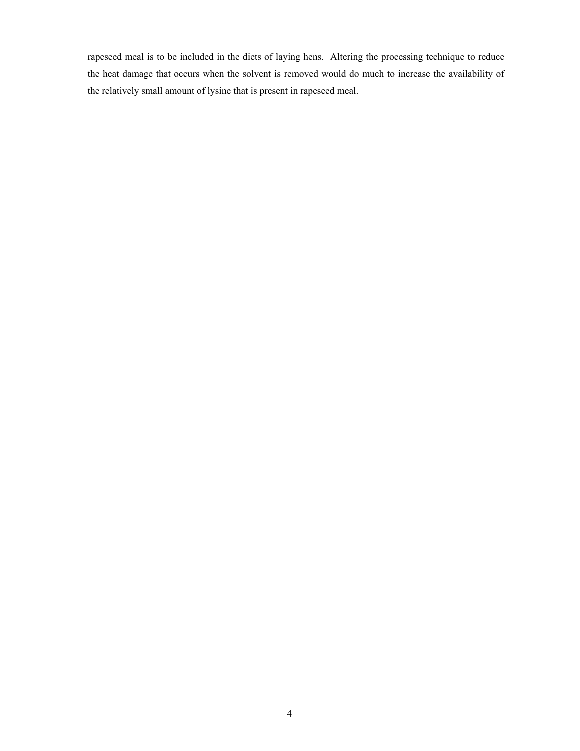rapeseed meal is to be included in the diets of laying hens. Altering the processing technique to reduce the heat damage that occurs when the solvent is removed would do much to increase the availability of the relatively small amount of lysine that is present in rapeseed meal.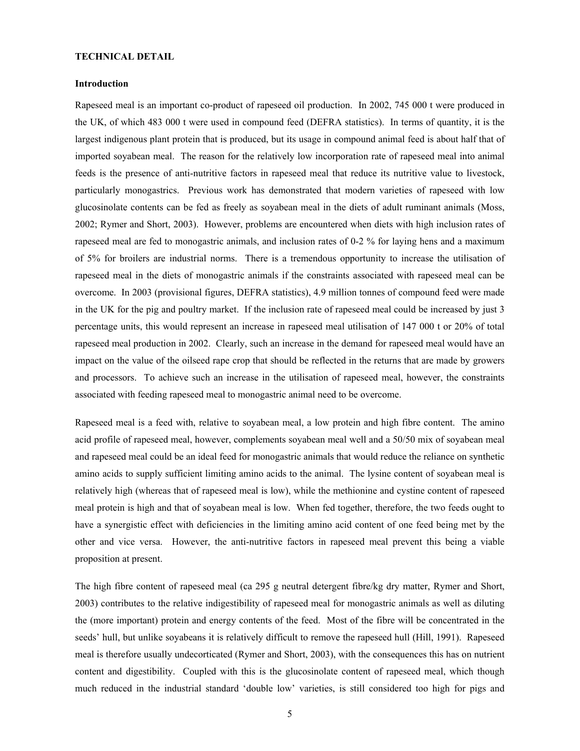## **TECHNICAL DETAIL**

## **Introduction**

Rapeseed meal is an important co-product of rapeseed oil production. In 2002, 745 000 t were produced in the UK, of which 483 000 t were used in compound feed (DEFRA statistics). In terms of quantity, it is the largest indigenous plant protein that is produced, but its usage in compound animal feed is about half that of imported soyabean meal. The reason for the relatively low incorporation rate of rapeseed meal into animal feeds is the presence of anti-nutritive factors in rapeseed meal that reduce its nutritive value to livestock, particularly monogastrics. Previous work has demonstrated that modern varieties of rapeseed with low glucosinolate contents can be fed as freely as soyabean meal in the diets of adult ruminant animals (Moss, 2002; Rymer and Short, 2003). However, problems are encountered when diets with high inclusion rates of rapeseed meal are fed to monogastric animals, and inclusion rates of 0-2 % for laying hens and a maximum of 5% for broilers are industrial norms. There is a tremendous opportunity to increase the utilisation of rapeseed meal in the diets of monogastric animals if the constraints associated with rapeseed meal can be overcome. In 2003 (provisional figures, DEFRA statistics), 4.9 million tonnes of compound feed were made in the UK for the pig and poultry market. If the inclusion rate of rapeseed meal could be increased by just 3 percentage units, this would represent an increase in rapeseed meal utilisation of 147 000 t or 20% of total rapeseed meal production in 2002. Clearly, such an increase in the demand for rapeseed meal would have an impact on the value of the oilseed rape crop that should be reflected in the returns that are made by growers and processors. To achieve such an increase in the utilisation of rapeseed meal, however, the constraints associated with feeding rapeseed meal to monogastric animal need to be overcome.

Rapeseed meal is a feed with, relative to soyabean meal, a low protein and high fibre content. The amino acid profile of rapeseed meal, however, complements soyabean meal well and a 50/50 mix of soyabean meal and rapeseed meal could be an ideal feed for monogastric animals that would reduce the reliance on synthetic amino acids to supply sufficient limiting amino acids to the animal. The lysine content of soyabean meal is relatively high (whereas that of rapeseed meal is low), while the methionine and cystine content of rapeseed meal protein is high and that of soyabean meal is low. When fed together, therefore, the two feeds ought to have a synergistic effect with deficiencies in the limiting amino acid content of one feed being met by the other and vice versa. However, the anti-nutritive factors in rapeseed meal prevent this being a viable proposition at present.

The high fibre content of rapeseed meal (ca 295 g neutral detergent fibre/kg dry matter, Rymer and Short, 2003) contributes to the relative indigestibility of rapeseed meal for monogastric animals as well as diluting the (more important) protein and energy contents of the feed. Most of the fibre will be concentrated in the seeds' hull, but unlike soyabeans it is relatively difficult to remove the rapeseed hull (Hill, 1991). Rapeseed meal is therefore usually undecorticated (Rymer and Short, 2003), with the consequences this has on nutrient content and digestibility. Coupled with this is the glucosinolate content of rapeseed meal, which though much reduced in the industrial standard 'double low' varieties, is still considered too high for pigs and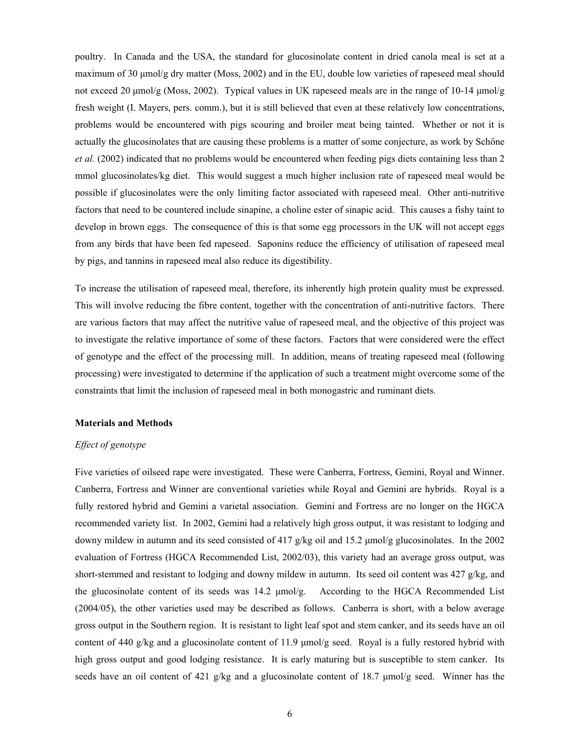poultry. In Canada and the USA, the standard for glucosinolate content in dried canola meal is set at a maximum of 30 µmol/g dry matter (Moss, 2002) and in the EU, double low varieties of rapeseed meal should not exceed 20  $\mu$ mol/g (Moss, 2002). Typical values in UK rapeseed meals are in the range of 10-14  $\mu$ mol/g fresh weight (I. Mayers, pers. comm.), but it is still believed that even at these relatively low concentrations, problems would be encountered with pigs scouring and broiler meat being tainted. Whether or not it is actually the glucosinolates that are causing these problems is a matter of some conjecture, as work by Schöne *et al.* (2002) indicated that no problems would be encountered when feeding pigs diets containing less than 2 mmol glucosinolates/kg diet. This would suggest a much higher inclusion rate of rapeseed meal would be possible if glucosinolates were the only limiting factor associated with rapeseed meal. Other anti-nutritive factors that need to be countered include sinapine, a choline ester of sinapic acid. This causes a fishy taint to develop in brown eggs. The consequence of this is that some egg processors in the UK will not accept eggs from any birds that have been fed rapeseed. Saponins reduce the efficiency of utilisation of rapeseed meal by pigs, and tannins in rapeseed meal also reduce its digestibility.

To increase the utilisation of rapeseed meal, therefore, its inherently high protein quality must be expressed. This will involve reducing the fibre content, together with the concentration of anti-nutritive factors. There are various factors that may affect the nutritive value of rapeseed meal, and the objective of this project was to investigate the relative importance of some of these factors. Factors that were considered were the effect of genotype and the effect of the processing mill. In addition, means of treating rapeseed meal (following processing) were investigated to determine if the application of such a treatment might overcome some of the constraints that limit the inclusion of rapeseed meal in both monogastric and ruminant diets.

#### **Materials and Methods**

## *Effect of genotype*

Five varieties of oilseed rape were investigated. These were Canberra, Fortress, Gemini, Royal and Winner. Canberra, Fortress and Winner are conventional varieties while Royal and Gemini are hybrids. Royal is a fully restored hybrid and Gemini a varietal association. Gemini and Fortress are no longer on the HGCA recommended variety list. In 2002, Gemini had a relatively high gross output, it was resistant to lodging and downy mildew in autumn and its seed consisted of 417 g/kg oil and 15.2 µmol/g glucosinolates. In the 2002 evaluation of Fortress (HGCA Recommended List, 2002/03), this variety had an average gross output, was short-stemmed and resistant to lodging and downy mildew in autumn. Its seed oil content was 427 g/kg, and the glucosinolate content of its seeds was 14.2 µmol/g. According to the HGCA Recommended List (2004/05), the other varieties used may be described as follows. Canberra is short, with a below average gross output in the Southern region. It is resistant to light leaf spot and stem canker, and its seeds have an oil content of 440 g/kg and a glucosinolate content of 11.9  $\mu$ mol/g seed. Royal is a fully restored hybrid with high gross output and good lodging resistance. It is early maturing but is susceptible to stem canker. Its seeds have an oil content of 421 g/kg and a glucosinolate content of 18.7 µmol/g seed. Winner has the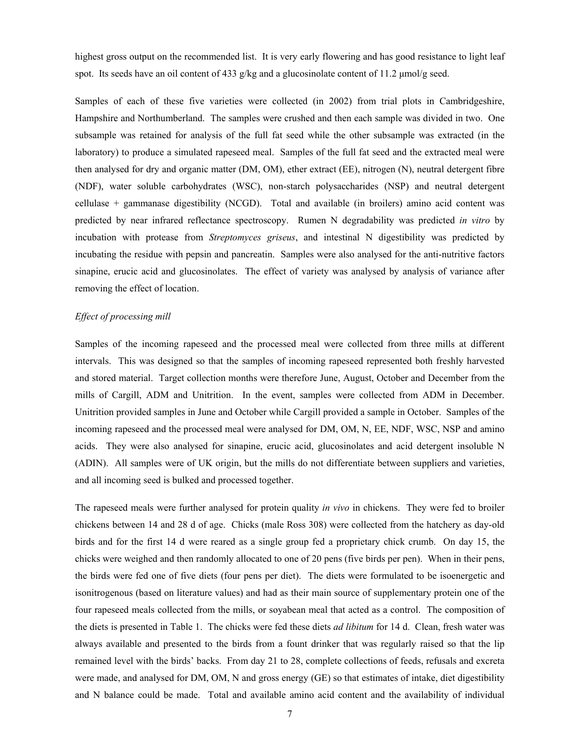highest gross output on the recommended list. It is very early flowering and has good resistance to light leaf spot. Its seeds have an oil content of 433 g/kg and a glucosinolate content of 11.2 µmol/g seed.

Samples of each of these five varieties were collected (in 2002) from trial plots in Cambridgeshire, Hampshire and Northumberland. The samples were crushed and then each sample was divided in two. One subsample was retained for analysis of the full fat seed while the other subsample was extracted (in the laboratory) to produce a simulated rapeseed meal. Samples of the full fat seed and the extracted meal were then analysed for dry and organic matter (DM, OM), ether extract (EE), nitrogen (N), neutral detergent fibre (NDF), water soluble carbohydrates (WSC), non-starch polysaccharides (NSP) and neutral detergent cellulase + gammanase digestibility (NCGD). Total and available (in broilers) amino acid content was predicted by near infrared reflectance spectroscopy. Rumen N degradability was predicted *in vitro* by incubation with protease from *Streptomyces griseus*, and intestinal N digestibility was predicted by incubating the residue with pepsin and pancreatin. Samples were also analysed for the anti-nutritive factors sinapine, erucic acid and glucosinolates. The effect of variety was analysed by analysis of variance after removing the effect of location.

#### *Effect of processing mill*

Samples of the incoming rapeseed and the processed meal were collected from three mills at different intervals. This was designed so that the samples of incoming rapeseed represented both freshly harvested and stored material. Target collection months were therefore June, August, October and December from the mills of Cargill, ADM and Unitrition. In the event, samples were collected from ADM in December. Unitrition provided samples in June and October while Cargill provided a sample in October. Samples of the incoming rapeseed and the processed meal were analysed for DM, OM, N, EE, NDF, WSC, NSP and amino acids. They were also analysed for sinapine, erucic acid, glucosinolates and acid detergent insoluble N (ADIN). All samples were of UK origin, but the mills do not differentiate between suppliers and varieties, and all incoming seed is bulked and processed together.

The rapeseed meals were further analysed for protein quality *in vivo* in chickens. They were fed to broiler chickens between 14 and 28 d of age. Chicks (male Ross 308) were collected from the hatchery as day-old birds and for the first 14 d were reared as a single group fed a proprietary chick crumb. On day 15, the chicks were weighed and then randomly allocated to one of 20 pens (five birds per pen). When in their pens, the birds were fed one of five diets (four pens per diet). The diets were formulated to be isoenergetic and isonitrogenous (based on literature values) and had as their main source of supplementary protein one of the four rapeseed meals collected from the mills, or soyabean meal that acted as a control. The composition of the diets is presented in Table 1. The chicks were fed these diets *ad libitum* for 14 d. Clean, fresh water was always available and presented to the birds from a fount drinker that was regularly raised so that the lip remained level with the birds' backs. From day 21 to 28, complete collections of feeds, refusals and excreta were made, and analysed for DM, OM, N and gross energy (GE) so that estimates of intake, diet digestibility and N balance could be made. Total and available amino acid content and the availability of individual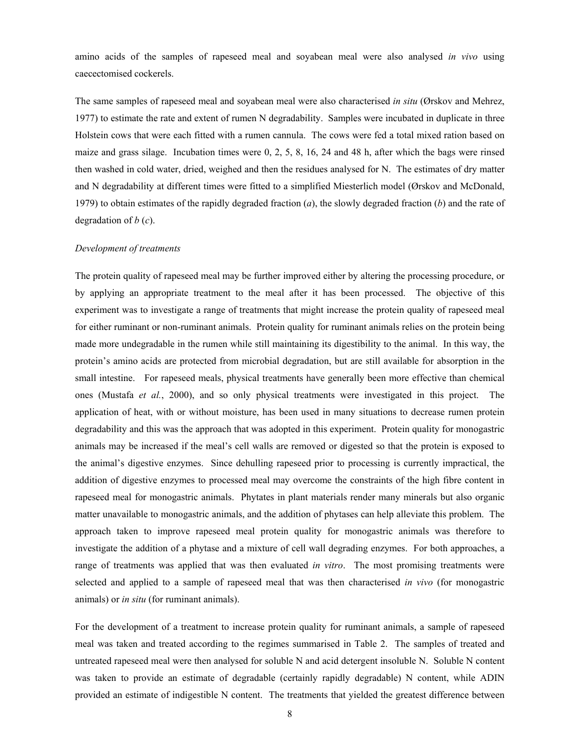amino acids of the samples of rapeseed meal and soyabean meal were also analysed *in vivo* using caecectomised cockerels.

The same samples of rapeseed meal and soyabean meal were also characterised *in situ* (Ørskov and Mehrez, 1977) to estimate the rate and extent of rumen N degradability. Samples were incubated in duplicate in three Holstein cows that were each fitted with a rumen cannula. The cows were fed a total mixed ration based on maize and grass silage. Incubation times were 0, 2, 5, 8, 16, 24 and 48 h, after which the bags were rinsed then washed in cold water, dried, weighed and then the residues analysed for N. The estimates of dry matter and N degradability at different times were fitted to a simplified Miesterlich model (Ørskov and McDonald, 1979) to obtain estimates of the rapidly degraded fraction (*a*), the slowly degraded fraction (*b*) and the rate of degradation of *b* (*c*).

#### *Development of treatments*

The protein quality of rapeseed meal may be further improved either by altering the processing procedure, or by applying an appropriate treatment to the meal after it has been processed. The objective of this experiment was to investigate a range of treatments that might increase the protein quality of rapeseed meal for either ruminant or non-ruminant animals. Protein quality for ruminant animals relies on the protein being made more undegradable in the rumen while still maintaining its digestibility to the animal. In this way, the protein's amino acids are protected from microbial degradation, but are still available for absorption in the small intestine. For rapeseed meals, physical treatments have generally been more effective than chemical ones (Mustafa *et al.*, 2000), and so only physical treatments were investigated in this project. The application of heat, with or without moisture, has been used in many situations to decrease rumen protein degradability and this was the approach that was adopted in this experiment. Protein quality for monogastric animals may be increased if the meal's cell walls are removed or digested so that the protein is exposed to the animal's digestive enzymes. Since dehulling rapeseed prior to processing is currently impractical, the addition of digestive enzymes to processed meal may overcome the constraints of the high fibre content in rapeseed meal for monogastric animals. Phytates in plant materials render many minerals but also organic matter unavailable to monogastric animals, and the addition of phytases can help alleviate this problem. The approach taken to improve rapeseed meal protein quality for monogastric animals was therefore to investigate the addition of a phytase and a mixture of cell wall degrading enzymes. For both approaches, a range of treatments was applied that was then evaluated *in vitro*. The most promising treatments were selected and applied to a sample of rapeseed meal that was then characterised *in vivo* (for monogastric animals) or *in situ* (for ruminant animals).

For the development of a treatment to increase protein quality for ruminant animals, a sample of rapeseed meal was taken and treated according to the regimes summarised in Table 2. The samples of treated and untreated rapeseed meal were then analysed for soluble N and acid detergent insoluble N. Soluble N content was taken to provide an estimate of degradable (certainly rapidly degradable) N content, while ADIN provided an estimate of indigestible N content. The treatments that yielded the greatest difference between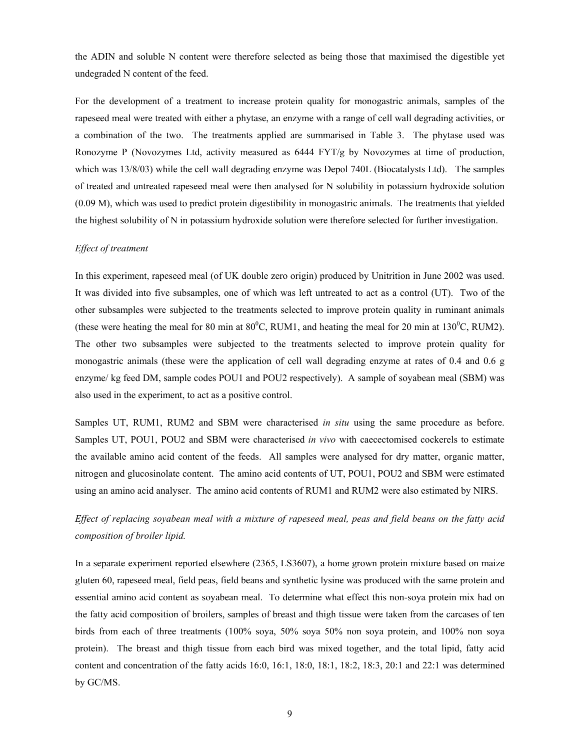the ADIN and soluble N content were therefore selected as being those that maximised the digestible yet undegraded N content of the feed.

For the development of a treatment to increase protein quality for monogastric animals, samples of the rapeseed meal were treated with either a phytase, an enzyme with a range of cell wall degrading activities, or a combination of the two. The treatments applied are summarised in Table 3. The phytase used was Ronozyme P (Novozymes Ltd, activity measured as 6444 FYT/g by Novozymes at time of production, which was 13/8/03) while the cell wall degrading enzyme was Depol 740L (Biocatalysts Ltd). The samples of treated and untreated rapeseed meal were then analysed for N solubility in potassium hydroxide solution (0.09 M), which was used to predict protein digestibility in monogastric animals. The treatments that yielded the highest solubility of N in potassium hydroxide solution were therefore selected for further investigation.

#### *Effect of treatment*

In this experiment, rapeseed meal (of UK double zero origin) produced by Unitrition in June 2002 was used. It was divided into five subsamples, one of which was left untreated to act as a control (UT). Two of the other subsamples were subjected to the treatments selected to improve protein quality in ruminant animals (these were heating the meal for 80 min at  $80^{\circ}$ C, RUM1, and heating the meal for 20 min at 130 $^{\circ}$ C, RUM2). The other two subsamples were subjected to the treatments selected to improve protein quality for monogastric animals (these were the application of cell wall degrading enzyme at rates of 0.4 and 0.6 g enzyme/ kg feed DM, sample codes POU1 and POU2 respectively). A sample of soyabean meal (SBM) was also used in the experiment, to act as a positive control.

Samples UT, RUM1, RUM2 and SBM were characterised *in situ* using the same procedure as before. Samples UT, POU1, POU2 and SBM were characterised *in vivo* with caecectomised cockerels to estimate the available amino acid content of the feeds. All samples were analysed for dry matter, organic matter, nitrogen and glucosinolate content. The amino acid contents of UT, POU1, POU2 and SBM were estimated using an amino acid analyser. The amino acid contents of RUM1 and RUM2 were also estimated by NIRS.

*Effect of replacing soyabean meal with a mixture of rapeseed meal, peas and field beans on the fatty acid composition of broiler lipid.* 

In a separate experiment reported elsewhere (2365, LS3607), a home grown protein mixture based on maize gluten 60, rapeseed meal, field peas, field beans and synthetic lysine was produced with the same protein and essential amino acid content as soyabean meal. To determine what effect this non-soya protein mix had on the fatty acid composition of broilers, samples of breast and thigh tissue were taken from the carcases of ten birds from each of three treatments (100% soya, 50% soya 50% non soya protein, and 100% non soya protein). The breast and thigh tissue from each bird was mixed together, and the total lipid, fatty acid content and concentration of the fatty acids 16:0, 16:1, 18:0, 18:1, 18:2, 18:3, 20:1 and 22:1 was determined by GC/MS.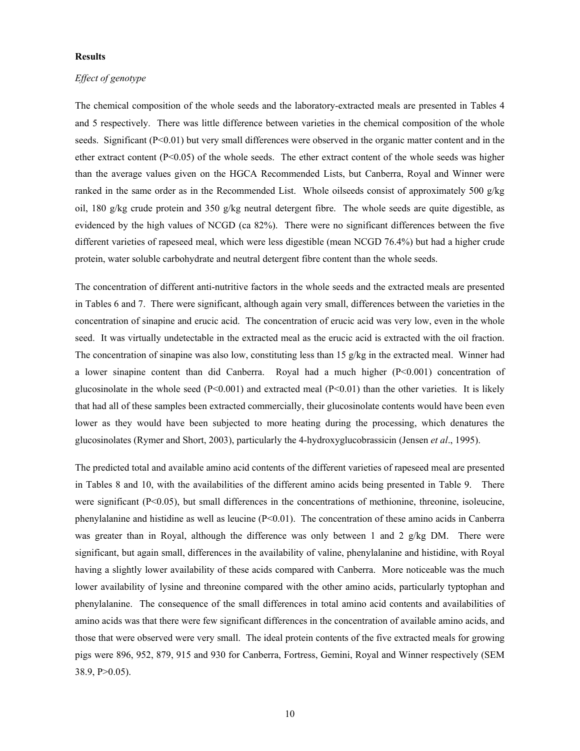## **Results**

# *Effect of genotype*

The chemical composition of the whole seeds and the laboratory-extracted meals are presented in Tables 4 and 5 respectively. There was little difference between varieties in the chemical composition of the whole seeds. Significant (P<0.01) but very small differences were observed in the organic matter content and in the ether extract content  $(P<0.05)$  of the whole seeds. The ether extract content of the whole seeds was higher than the average values given on the HGCA Recommended Lists, but Canberra, Royal and Winner were ranked in the same order as in the Recommended List. Whole oilseeds consist of approximately 500 g/kg oil, 180 g/kg crude protein and 350 g/kg neutral detergent fibre. The whole seeds are quite digestible, as evidenced by the high values of NCGD (ca 82%). There were no significant differences between the five different varieties of rapeseed meal, which were less digestible (mean NCGD 76.4%) but had a higher crude protein, water soluble carbohydrate and neutral detergent fibre content than the whole seeds.

The concentration of different anti-nutritive factors in the whole seeds and the extracted meals are presented in Tables 6 and 7. There were significant, although again very small, differences between the varieties in the concentration of sinapine and erucic acid. The concentration of erucic acid was very low, even in the whole seed. It was virtually undetectable in the extracted meal as the erucic acid is extracted with the oil fraction. The concentration of sinapine was also low, constituting less than 15 g/kg in the extracted meal. Winner had a lower sinapine content than did Canberra. Royal had a much higher (P<0.001) concentration of glucosinolate in the whole seed ( $P<0.001$ ) and extracted meal ( $P<0.01$ ) than the other varieties. It is likely that had all of these samples been extracted commercially, their glucosinolate contents would have been even lower as they would have been subjected to more heating during the processing, which denatures the glucosinolates (Rymer and Short, 2003), particularly the 4-hydroxyglucobrassicin (Jensen *et al*., 1995).

The predicted total and available amino acid contents of the different varieties of rapeseed meal are presented in Tables 8 and 10, with the availabilities of the different amino acids being presented in Table 9. There were significant (P<0.05), but small differences in the concentrations of methionine, threonine, isoleucine, phenylalanine and histidine as well as leucine  $(P< 0.01)$ . The concentration of these amino acids in Canberra was greater than in Royal, although the difference was only between 1 and 2 g/kg DM. There were significant, but again small, differences in the availability of valine, phenylalanine and histidine, with Royal having a slightly lower availability of these acids compared with Canberra. More noticeable was the much lower availability of lysine and threonine compared with the other amino acids, particularly typtophan and phenylalanine. The consequence of the small differences in total amino acid contents and availabilities of amino acids was that there were few significant differences in the concentration of available amino acids, and those that were observed were very small. The ideal protein contents of the five extracted meals for growing pigs were 896, 952, 879, 915 and 930 for Canberra, Fortress, Gemini, Royal and Winner respectively (SEM 38.9, P>0.05).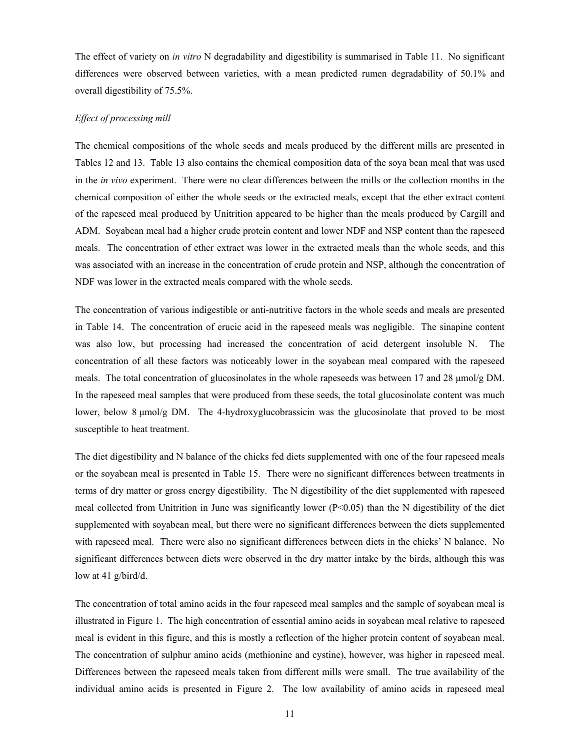The effect of variety on *in vitro* N degradability and digestibility is summarised in Table 11. No significant differences were observed between varieties, with a mean predicted rumen degradability of 50.1% and overall digestibility of 75.5%.

#### *Effect of processing mill*

The chemical compositions of the whole seeds and meals produced by the different mills are presented in Tables 12 and 13. Table 13 also contains the chemical composition data of the soya bean meal that was used in the *in vivo* experiment. There were no clear differences between the mills or the collection months in the chemical composition of either the whole seeds or the extracted meals, except that the ether extract content of the rapeseed meal produced by Unitrition appeared to be higher than the meals produced by Cargill and ADM. Soyabean meal had a higher crude protein content and lower NDF and NSP content than the rapeseed meals. The concentration of ether extract was lower in the extracted meals than the whole seeds, and this was associated with an increase in the concentration of crude protein and NSP, although the concentration of NDF was lower in the extracted meals compared with the whole seeds.

The concentration of various indigestible or anti-nutritive factors in the whole seeds and meals are presented in Table 14. The concentration of erucic acid in the rapeseed meals was negligible. The sinapine content was also low, but processing had increased the concentration of acid detergent insoluble N. The concentration of all these factors was noticeably lower in the soyabean meal compared with the rapeseed meals. The total concentration of glucosinolates in the whole rapeseeds was between 17 and 28  $\mu$ mol/g DM. In the rapeseed meal samples that were produced from these seeds, the total glucosinolate content was much lower, below 8 µmol/g DM. The 4-hydroxyglucobrassicin was the glucosinolate that proved to be most susceptible to heat treatment.

The diet digestibility and N balance of the chicks fed diets supplemented with one of the four rapeseed meals or the soyabean meal is presented in Table 15. There were no significant differences between treatments in terms of dry matter or gross energy digestibility. The N digestibility of the diet supplemented with rapeseed meal collected from Unitrition in June was significantly lower ( $P<0.05$ ) than the N digestibility of the diet supplemented with soyabean meal, but there were no significant differences between the diets supplemented with rapeseed meal. There were also no significant differences between diets in the chicks' N balance. No significant differences between diets were observed in the dry matter intake by the birds, although this was low at 41 g/bird/d.

The concentration of total amino acids in the four rapeseed meal samples and the sample of soyabean meal is illustrated in Figure 1. The high concentration of essential amino acids in soyabean meal relative to rapeseed meal is evident in this figure, and this is mostly a reflection of the higher protein content of soyabean meal. The concentration of sulphur amino acids (methionine and cystine), however, was higher in rapeseed meal. Differences between the rapeseed meals taken from different mills were small. The true availability of the individual amino acids is presented in Figure 2. The low availability of amino acids in rapeseed meal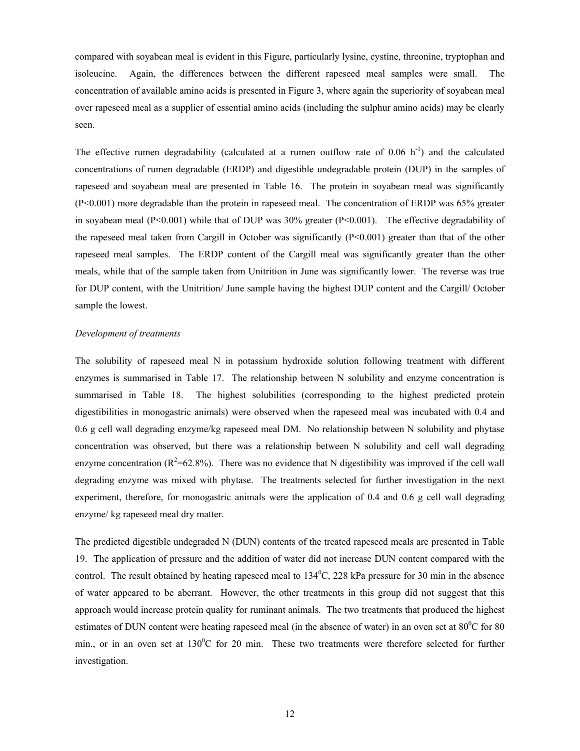compared with soyabean meal is evident in this Figure, particularly lysine, cystine, threonine, tryptophan and isoleucine. Again, the differences between the different rapeseed meal samples were small. The concentration of available amino acids is presented in Figure 3, where again the superiority of soyabean meal over rapeseed meal as a supplier of essential amino acids (including the sulphur amino acids) may be clearly seen.

The effective rumen degradability (calculated at a rumen outflow rate of  $0.06$  h<sup>-1</sup>) and the calculated concentrations of rumen degradable (ERDP) and digestible undegradable protein (DUP) in the samples of rapeseed and soyabean meal are presented in Table 16. The protein in soyabean meal was significantly (P<0.001) more degradable than the protein in rapeseed meal. The concentration of ERDP was 65% greater in soyabean meal (P<0.001) while that of DUP was  $30\%$  greater (P<0.001). The effective degradability of the rapeseed meal taken from Cargill in October was significantly  $(P<0.001)$  greater than that of the other rapeseed meal samples. The ERDP content of the Cargill meal was significantly greater than the other meals, while that of the sample taken from Unitrition in June was significantly lower. The reverse was true for DUP content, with the Unitrition/ June sample having the highest DUP content and the Cargill/ October sample the lowest.

## *Development of treatments*

The solubility of rapeseed meal N in potassium hydroxide solution following treatment with different enzymes is summarised in Table 17. The relationship between N solubility and enzyme concentration is summarised in Table 18. The highest solubilities (corresponding to the highest predicted protein digestibilities in monogastric animals) were observed when the rapeseed meal was incubated with 0.4 and 0.6 g cell wall degrading enzyme/kg rapeseed meal DM. No relationship between N solubility and phytase concentration was observed, but there was a relationship between N solubility and cell wall degrading enzyme concentration ( $R^2$ =62.8%). There was no evidence that N digestibility was improved if the cell wall degrading enzyme was mixed with phytase. The treatments selected for further investigation in the next experiment, therefore, for monogastric animals were the application of 0.4 and 0.6 g cell wall degrading enzyme/ kg rapeseed meal dry matter.

The predicted digestible undegraded N (DUN) contents of the treated rapeseed meals are presented in Table 19. The application of pressure and the addition of water did not increase DUN content compared with the control. The result obtained by heating rapeseed meal to  $134^{\circ}$ C, 228 kPa pressure for 30 min in the absence of water appeared to be aberrant. However, the other treatments in this group did not suggest that this approach would increase protein quality for ruminant animals. The two treatments that produced the highest estimates of DUN content were heating rapeseed meal (in the absence of water) in an oven set at  $80^{\circ}$ C for  $80$ min., or in an oven set at  $130^{\circ}$ C for 20 min. These two treatments were therefore selected for further investigation.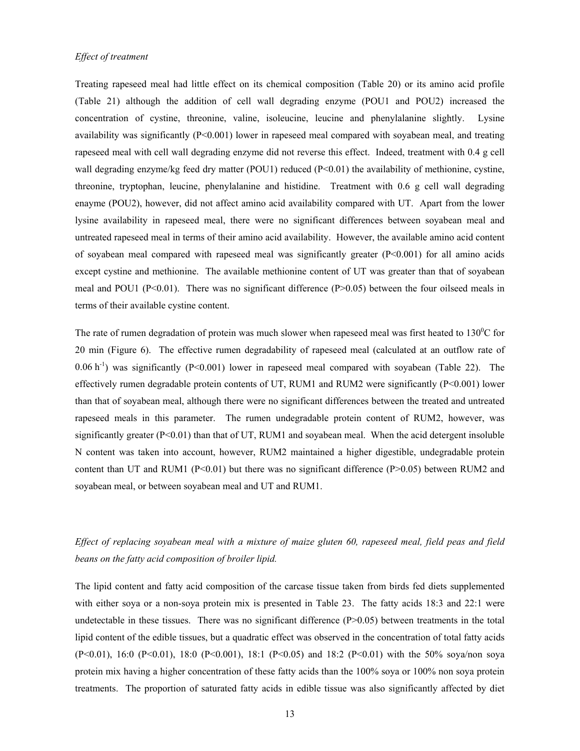Treating rapeseed meal had little effect on its chemical composition (Table 20) or its amino acid profile (Table 21) although the addition of cell wall degrading enzyme (POU1 and POU2) increased the concentration of cystine, threonine, valine, isoleucine, leucine and phenylalanine slightly. Lysine availability was significantly (P<0.001) lower in rapeseed meal compared with soyabean meal, and treating rapeseed meal with cell wall degrading enzyme did not reverse this effect. Indeed, treatment with 0.4 g cell wall degrading enzyme/kg feed dry matter (POU1) reduced (P<0.01) the availability of methionine, cystine, threonine, tryptophan, leucine, phenylalanine and histidine. Treatment with 0.6 g cell wall degrading enayme (POU2), however, did not affect amino acid availability compared with UT. Apart from the lower lysine availability in rapeseed meal, there were no significant differences between soyabean meal and untreated rapeseed meal in terms of their amino acid availability. However, the available amino acid content of soyabean meal compared with rapeseed meal was significantly greater (P<0.001) for all amino acids except cystine and methionine. The available methionine content of UT was greater than that of soyabean meal and POU1 ( $P<0.01$ ). There was no significant difference ( $P>0.05$ ) between the four oilseed meals in terms of their available cystine content.

The rate of rumen degradation of protein was much slower when rapeseed meal was first heated to  $130^{\circ}$ C for 20 min (Figure 6). The effective rumen degradability of rapeseed meal (calculated at an outflow rate of  $0.06$  h<sup>-1</sup>) was significantly (P<0.001) lower in rapeseed meal compared with soyabean (Table 22). The effectively rumen degradable protein contents of UT, RUM1 and RUM2 were significantly (P<0.001) lower than that of soyabean meal, although there were no significant differences between the treated and untreated rapeseed meals in this parameter. The rumen undegradable protein content of RUM2, however, was significantly greater  $(P<0.01)$  than that of UT, RUM1 and soyabean meal. When the acid detergent insoluble N content was taken into account, however, RUM2 maintained a higher digestible, undegradable protein content than UT and RUM1 ( $P<0.01$ ) but there was no significant difference ( $P>0.05$ ) between RUM2 and soyabean meal, or between soyabean meal and UT and RUM1.

*Effect of replacing soyabean meal with a mixture of maize gluten 60, rapeseed meal, field peas and field beans on the fatty acid composition of broiler lipid.* 

The lipid content and fatty acid composition of the carcase tissue taken from birds fed diets supplemented with either soya or a non-soya protein mix is presented in Table 23. The fatty acids 18:3 and 22:1 were undetectable in these tissues. There was no significant difference (P>0.05) between treatments in the total lipid content of the edible tissues, but a quadratic effect was observed in the concentration of total fatty acids (P<0.01), 16:0 (P<0.01), 18:0 (P<0.001), 18:1 (P<0.05) and 18:2 (P<0.01) with the 50% soya/non soya protein mix having a higher concentration of these fatty acids than the 100% soya or 100% non soya protein treatments. The proportion of saturated fatty acids in edible tissue was also significantly affected by diet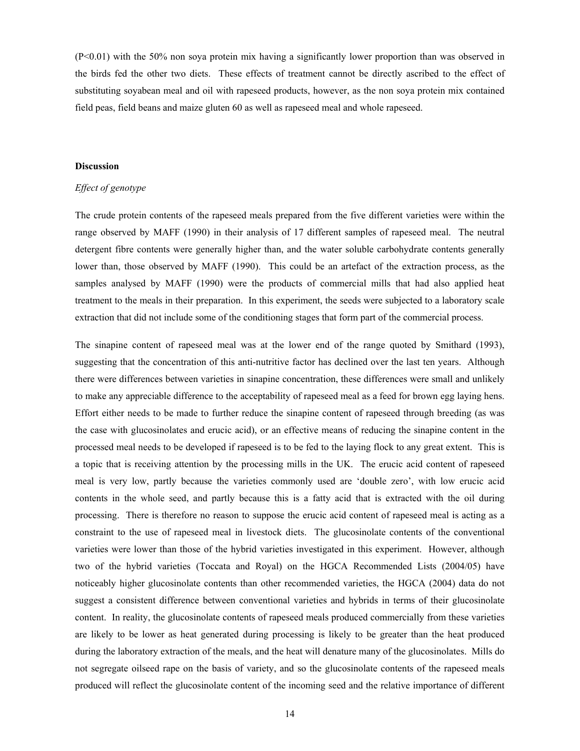(P<0.01) with the 50% non soya protein mix having a significantly lower proportion than was observed in the birds fed the other two diets. These effects of treatment cannot be directly ascribed to the effect of substituting soyabean meal and oil with rapeseed products, however, as the non soya protein mix contained field peas, field beans and maize gluten 60 as well as rapeseed meal and whole rapeseed.

## **Discussion**

#### *Effect of genotype*

The crude protein contents of the rapeseed meals prepared from the five different varieties were within the range observed by MAFF (1990) in their analysis of 17 different samples of rapeseed meal. The neutral detergent fibre contents were generally higher than, and the water soluble carbohydrate contents generally lower than, those observed by MAFF (1990). This could be an artefact of the extraction process, as the samples analysed by MAFF (1990) were the products of commercial mills that had also applied heat treatment to the meals in their preparation. In this experiment, the seeds were subjected to a laboratory scale extraction that did not include some of the conditioning stages that form part of the commercial process.

The sinapine content of rapeseed meal was at the lower end of the range quoted by Smithard (1993), suggesting that the concentration of this anti-nutritive factor has declined over the last ten years. Although there were differences between varieties in sinapine concentration, these differences were small and unlikely to make any appreciable difference to the acceptability of rapeseed meal as a feed for brown egg laying hens. Effort either needs to be made to further reduce the sinapine content of rapeseed through breeding (as was the case with glucosinolates and erucic acid), or an effective means of reducing the sinapine content in the processed meal needs to be developed if rapeseed is to be fed to the laying flock to any great extent. This is a topic that is receiving attention by the processing mills in the UK. The erucic acid content of rapeseed meal is very low, partly because the varieties commonly used are 'double zero', with low erucic acid contents in the whole seed, and partly because this is a fatty acid that is extracted with the oil during processing. There is therefore no reason to suppose the erucic acid content of rapeseed meal is acting as a constraint to the use of rapeseed meal in livestock diets. The glucosinolate contents of the conventional varieties were lower than those of the hybrid varieties investigated in this experiment. However, although two of the hybrid varieties (Toccata and Royal) on the HGCA Recommended Lists (2004/05) have noticeably higher glucosinolate contents than other recommended varieties, the HGCA (2004) data do not suggest a consistent difference between conventional varieties and hybrids in terms of their glucosinolate content. In reality, the glucosinolate contents of rapeseed meals produced commercially from these varieties are likely to be lower as heat generated during processing is likely to be greater than the heat produced during the laboratory extraction of the meals, and the heat will denature many of the glucosinolates. Mills do not segregate oilseed rape on the basis of variety, and so the glucosinolate contents of the rapeseed meals produced will reflect the glucosinolate content of the incoming seed and the relative importance of different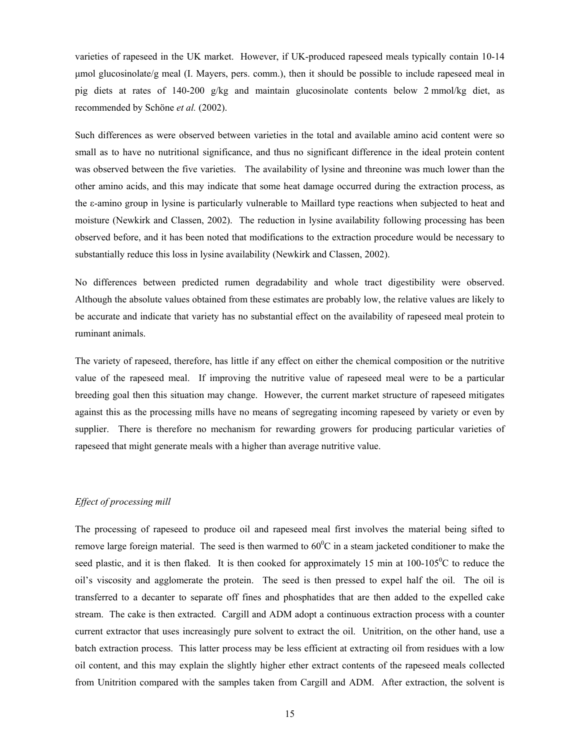varieties of rapeseed in the UK market. However, if UK-produced rapeseed meals typically contain 10-14 µmol glucosinolate/g meal (I. Mayers, pers. comm.), then it should be possible to include rapeseed meal in pig diets at rates of 140-200 g/kg and maintain glucosinolate contents below 2 mmol/kg diet, as recommended by Schöne *et al.* (2002).

Such differences as were observed between varieties in the total and available amino acid content were so small as to have no nutritional significance, and thus no significant difference in the ideal protein content was observed between the five varieties. The availability of lysine and threonine was much lower than the other amino acids, and this may indicate that some heat damage occurred during the extraction process, as the ε-amino group in lysine is particularly vulnerable to Maillard type reactions when subjected to heat and moisture (Newkirk and Classen, 2002). The reduction in lysine availability following processing has been observed before, and it has been noted that modifications to the extraction procedure would be necessary to substantially reduce this loss in lysine availability (Newkirk and Classen, 2002).

No differences between predicted rumen degradability and whole tract digestibility were observed. Although the absolute values obtained from these estimates are probably low, the relative values are likely to be accurate and indicate that variety has no substantial effect on the availability of rapeseed meal protein to ruminant animals.

The variety of rapeseed, therefore, has little if any effect on either the chemical composition or the nutritive value of the rapeseed meal. If improving the nutritive value of rapeseed meal were to be a particular breeding goal then this situation may change. However, the current market structure of rapeseed mitigates against this as the processing mills have no means of segregating incoming rapeseed by variety or even by supplier. There is therefore no mechanism for rewarding growers for producing particular varieties of rapeseed that might generate meals with a higher than average nutritive value.

#### *Effect of processing mill*

The processing of rapeseed to produce oil and rapeseed meal first involves the material being sifted to remove large foreign material. The seed is then warmed to  $60^{\circ}$ C in a steam jacketed conditioner to make the seed plastic, and it is then flaked. It is then cooked for approximately 15 min at  $100-105\degree C$  to reduce the oil's viscosity and agglomerate the protein. The seed is then pressed to expel half the oil. The oil is transferred to a decanter to separate off fines and phosphatides that are then added to the expelled cake stream. The cake is then extracted. Cargill and ADM adopt a continuous extraction process with a counter current extractor that uses increasingly pure solvent to extract the oil. Unitrition, on the other hand, use a batch extraction process. This latter process may be less efficient at extracting oil from residues with a low oil content, and this may explain the slightly higher ether extract contents of the rapeseed meals collected from Unitrition compared with the samples taken from Cargill and ADM. After extraction, the solvent is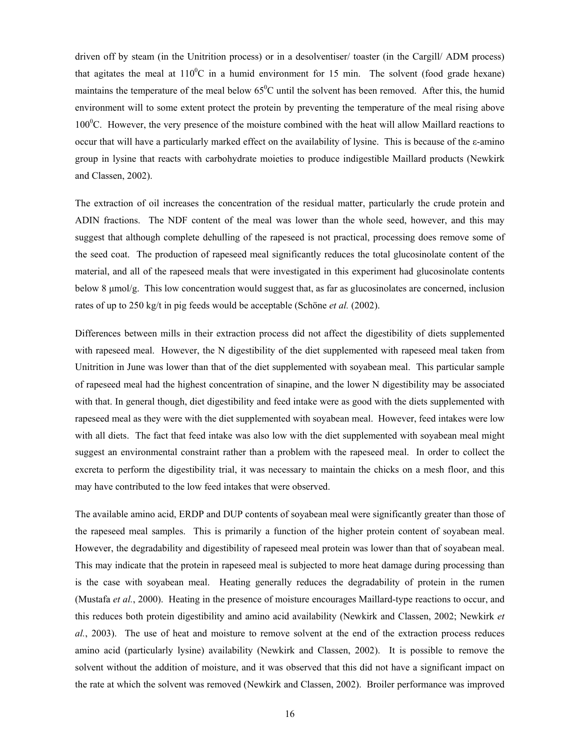driven off by steam (in the Unitrition process) or in a desolventiser/ toaster (in the Cargill/ ADM process) that agitates the meal at  $110^{\circ}$ C in a humid environment for 15 min. The solvent (food grade hexane) maintains the temperature of the meal below  $65^{\circ}$ C until the solvent has been removed. After this, the humid environment will to some extent protect the protein by preventing the temperature of the meal rising above  $100^{\circ}$ C. However, the very presence of the moisture combined with the heat will allow Maillard reactions to occur that will have a particularly marked effect on the availability of lysine. This is because of the ε-amino group in lysine that reacts with carbohydrate moieties to produce indigestible Maillard products (Newkirk and Classen, 2002).

The extraction of oil increases the concentration of the residual matter, particularly the crude protein and ADIN fractions. The NDF content of the meal was lower than the whole seed, however, and this may suggest that although complete dehulling of the rapeseed is not practical, processing does remove some of the seed coat. The production of rapeseed meal significantly reduces the total glucosinolate content of the material, and all of the rapeseed meals that were investigated in this experiment had glucosinolate contents below 8 µmol/g. This low concentration would suggest that, as far as glucosinolates are concerned, inclusion rates of up to 250 kg/t in pig feeds would be acceptable (Schöne *et al.* (2002).

Differences between mills in their extraction process did not affect the digestibility of diets supplemented with rapeseed meal. However, the N digestibility of the diet supplemented with rapeseed meal taken from Unitrition in June was lower than that of the diet supplemented with soyabean meal. This particular sample of rapeseed meal had the highest concentration of sinapine, and the lower N digestibility may be associated with that. In general though, diet digestibility and feed intake were as good with the diets supplemented with rapeseed meal as they were with the diet supplemented with soyabean meal. However, feed intakes were low with all diets. The fact that feed intake was also low with the diet supplemented with soyabean meal might suggest an environmental constraint rather than a problem with the rapeseed meal. In order to collect the excreta to perform the digestibility trial, it was necessary to maintain the chicks on a mesh floor, and this may have contributed to the low feed intakes that were observed.

The available amino acid, ERDP and DUP contents of soyabean meal were significantly greater than those of the rapeseed meal samples. This is primarily a function of the higher protein content of soyabean meal. However, the degradability and digestibility of rapeseed meal protein was lower than that of soyabean meal. This may indicate that the protein in rapeseed meal is subjected to more heat damage during processing than is the case with soyabean meal. Heating generally reduces the degradability of protein in the rumen (Mustafa *et al.*, 2000). Heating in the presence of moisture encourages Maillard-type reactions to occur, and this reduces both protein digestibility and amino acid availability (Newkirk and Classen, 2002; Newkirk *et al.*, 2003). The use of heat and moisture to remove solvent at the end of the extraction process reduces amino acid (particularly lysine) availability (Newkirk and Classen, 2002). It is possible to remove the solvent without the addition of moisture, and it was observed that this did not have a significant impact on the rate at which the solvent was removed (Newkirk and Classen, 2002). Broiler performance was improved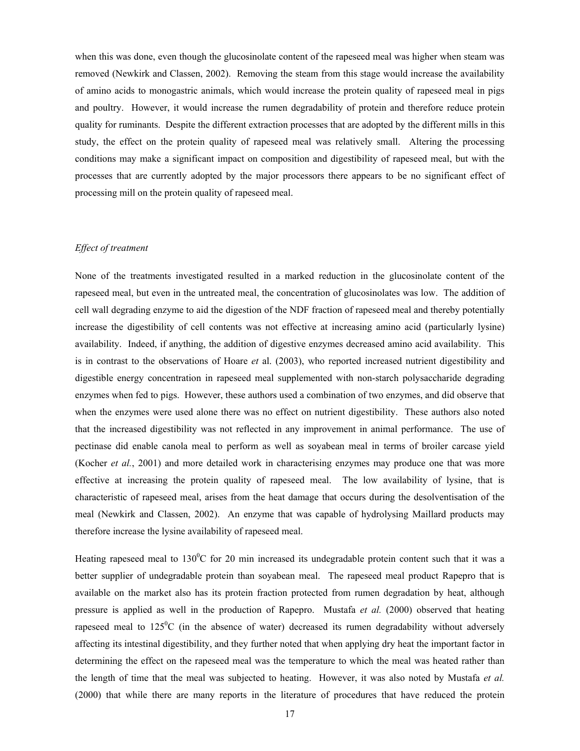when this was done, even though the glucosinolate content of the rapeseed meal was higher when steam was removed (Newkirk and Classen, 2002). Removing the steam from this stage would increase the availability of amino acids to monogastric animals, which would increase the protein quality of rapeseed meal in pigs and poultry. However, it would increase the rumen degradability of protein and therefore reduce protein quality for ruminants. Despite the different extraction processes that are adopted by the different mills in this study, the effect on the protein quality of rapeseed meal was relatively small. Altering the processing conditions may make a significant impact on composition and digestibility of rapeseed meal, but with the processes that are currently adopted by the major processors there appears to be no significant effect of processing mill on the protein quality of rapeseed meal.

#### *Effect of treatment*

None of the treatments investigated resulted in a marked reduction in the glucosinolate content of the rapeseed meal, but even in the untreated meal, the concentration of glucosinolates was low. The addition of cell wall degrading enzyme to aid the digestion of the NDF fraction of rapeseed meal and thereby potentially increase the digestibility of cell contents was not effective at increasing amino acid (particularly lysine) availability. Indeed, if anything, the addition of digestive enzymes decreased amino acid availability. This is in contrast to the observations of Hoare *et* al. (2003), who reported increased nutrient digestibility and digestible energy concentration in rapeseed meal supplemented with non-starch polysaccharide degrading enzymes when fed to pigs. However, these authors used a combination of two enzymes, and did observe that when the enzymes were used alone there was no effect on nutrient digestibility. These authors also noted that the increased digestibility was not reflected in any improvement in animal performance. The use of pectinase did enable canola meal to perform as well as soyabean meal in terms of broiler carcase yield (Kocher *et al.*, 2001) and more detailed work in characterising enzymes may produce one that was more effective at increasing the protein quality of rapeseed meal. The low availability of lysine, that is characteristic of rapeseed meal, arises from the heat damage that occurs during the desolventisation of the meal (Newkirk and Classen, 2002). An enzyme that was capable of hydrolysing Maillard products may therefore increase the lysine availability of rapeseed meal.

Heating rapeseed meal to  $130^{\circ}$ C for 20 min increased its undegradable protein content such that it was a better supplier of undegradable protein than soyabean meal. The rapeseed meal product Rapepro that is available on the market also has its protein fraction protected from rumen degradation by heat, although pressure is applied as well in the production of Rapepro. Mustafa *et al.* (2000) observed that heating rapeseed meal to  $125\text{°C}$  (in the absence of water) decreased its rumen degradability without adversely affecting its intestinal digestibility, and they further noted that when applying dry heat the important factor in determining the effect on the rapeseed meal was the temperature to which the meal was heated rather than the length of time that the meal was subjected to heating. However, it was also noted by Mustafa *et al.* (2000) that while there are many reports in the literature of procedures that have reduced the protein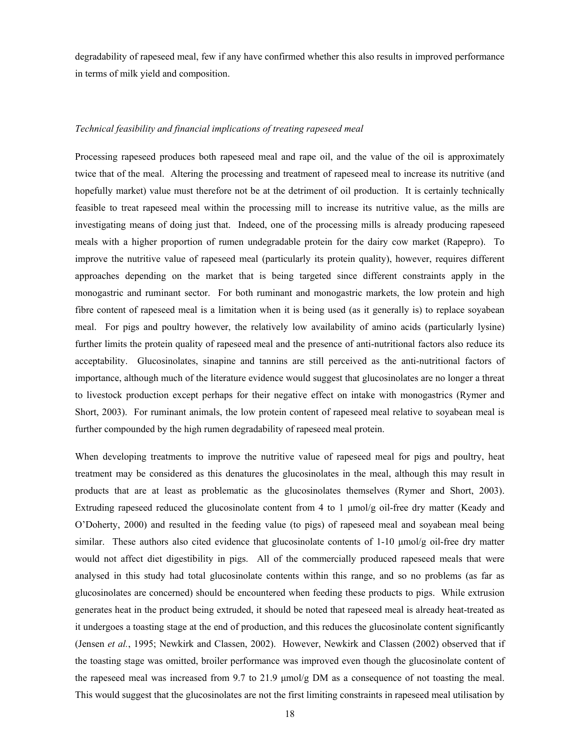degradability of rapeseed meal, few if any have confirmed whether this also results in improved performance in terms of milk yield and composition.

## *Technical feasibility and financial implications of treating rapeseed meal*

Processing rapeseed produces both rapeseed meal and rape oil, and the value of the oil is approximately twice that of the meal. Altering the processing and treatment of rapeseed meal to increase its nutritive (and hopefully market) value must therefore not be at the detriment of oil production. It is certainly technically feasible to treat rapeseed meal within the processing mill to increase its nutritive value, as the mills are investigating means of doing just that. Indeed, one of the processing mills is already producing rapeseed meals with a higher proportion of rumen undegradable protein for the dairy cow market (Rapepro). To improve the nutritive value of rapeseed meal (particularly its protein quality), however, requires different approaches depending on the market that is being targeted since different constraints apply in the monogastric and ruminant sector. For both ruminant and monogastric markets, the low protein and high fibre content of rapeseed meal is a limitation when it is being used (as it generally is) to replace soyabean meal. For pigs and poultry however, the relatively low availability of amino acids (particularly lysine) further limits the protein quality of rapeseed meal and the presence of anti-nutritional factors also reduce its acceptability. Glucosinolates, sinapine and tannins are still perceived as the anti-nutritional factors of importance, although much of the literature evidence would suggest that glucosinolates are no longer a threat to livestock production except perhaps for their negative effect on intake with monogastrics (Rymer and Short, 2003). For ruminant animals, the low protein content of rapeseed meal relative to soyabean meal is further compounded by the high rumen degradability of rapeseed meal protein.

When developing treatments to improve the nutritive value of rapeseed meal for pigs and poultry, heat treatment may be considered as this denatures the glucosinolates in the meal, although this may result in products that are at least as problematic as the glucosinolates themselves (Rymer and Short, 2003). Extruding rapeseed reduced the glucosinolate content from 4 to 1 µmol/g oil-free dry matter (Keady and O'Doherty, 2000) and resulted in the feeding value (to pigs) of rapeseed meal and soyabean meal being similar. These authors also cited evidence that glucosinolate contents of  $1-10 \mu m o l/g$  oil-free dry matter would not affect diet digestibility in pigs. All of the commercially produced rapeseed meals that were analysed in this study had total glucosinolate contents within this range, and so no problems (as far as glucosinolates are concerned) should be encountered when feeding these products to pigs. While extrusion generates heat in the product being extruded, it should be noted that rapeseed meal is already heat-treated as it undergoes a toasting stage at the end of production, and this reduces the glucosinolate content significantly (Jensen *et al.*, 1995; Newkirk and Classen, 2002). However, Newkirk and Classen (2002) observed that if the toasting stage was omitted, broiler performance was improved even though the glucosinolate content of the rapeseed meal was increased from 9.7 to 21.9  $\mu$ mol/g DM as a consequence of not toasting the meal. This would suggest that the glucosinolates are not the first limiting constraints in rapeseed meal utilisation by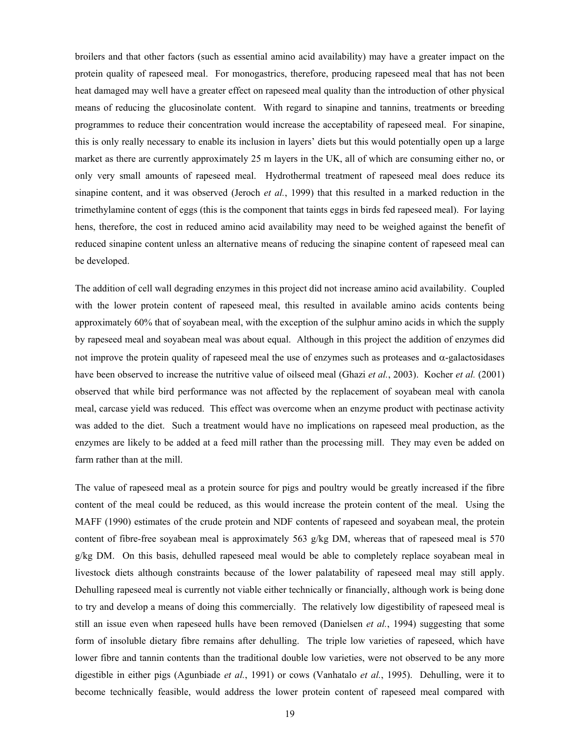broilers and that other factors (such as essential amino acid availability) may have a greater impact on the protein quality of rapeseed meal. For monogastrics, therefore, producing rapeseed meal that has not been heat damaged may well have a greater effect on rapeseed meal quality than the introduction of other physical means of reducing the glucosinolate content. With regard to sinapine and tannins, treatments or breeding programmes to reduce their concentration would increase the acceptability of rapeseed meal. For sinapine, this is only really necessary to enable its inclusion in layers' diets but this would potentially open up a large market as there are currently approximately 25 m layers in the UK, all of which are consuming either no, or only very small amounts of rapeseed meal. Hydrothermal treatment of rapeseed meal does reduce its sinapine content, and it was observed (Jeroch *et al.*, 1999) that this resulted in a marked reduction in the trimethylamine content of eggs (this is the component that taints eggs in birds fed rapeseed meal). For laying hens, therefore, the cost in reduced amino acid availability may need to be weighed against the benefit of reduced sinapine content unless an alternative means of reducing the sinapine content of rapeseed meal can be developed.

The addition of cell wall degrading enzymes in this project did not increase amino acid availability. Coupled with the lower protein content of rapeseed meal, this resulted in available amino acids contents being approximately 60% that of soyabean meal, with the exception of the sulphur amino acids in which the supply by rapeseed meal and soyabean meal was about equal. Although in this project the addition of enzymes did not improve the protein quality of rapeseed meal the use of enzymes such as proteases and α-galactosidases have been observed to increase the nutritive value of oilseed meal (Ghazi *et al.*, 2003). Kocher *et al.* (2001) observed that while bird performance was not affected by the replacement of soyabean meal with canola meal, carcase yield was reduced. This effect was overcome when an enzyme product with pectinase activity was added to the diet. Such a treatment would have no implications on rapeseed meal production, as the enzymes are likely to be added at a feed mill rather than the processing mill. They may even be added on farm rather than at the mill.

The value of rapeseed meal as a protein source for pigs and poultry would be greatly increased if the fibre content of the meal could be reduced, as this would increase the protein content of the meal. Using the MAFF (1990) estimates of the crude protein and NDF contents of rapeseed and soyabean meal, the protein content of fibre-free soyabean meal is approximately 563 g/kg DM, whereas that of rapeseed meal is 570 g/kg DM. On this basis, dehulled rapeseed meal would be able to completely replace soyabean meal in livestock diets although constraints because of the lower palatability of rapeseed meal may still apply. Dehulling rapeseed meal is currently not viable either technically or financially, although work is being done to try and develop a means of doing this commercially. The relatively low digestibility of rapeseed meal is still an issue even when rapeseed hulls have been removed (Danielsen *et al.*, 1994) suggesting that some form of insoluble dietary fibre remains after dehulling. The triple low varieties of rapeseed, which have lower fibre and tannin contents than the traditional double low varieties, were not observed to be any more digestible in either pigs (Agunbiade *et al.*, 1991) or cows (Vanhatalo *et al.*, 1995). Dehulling, were it to become technically feasible, would address the lower protein content of rapeseed meal compared with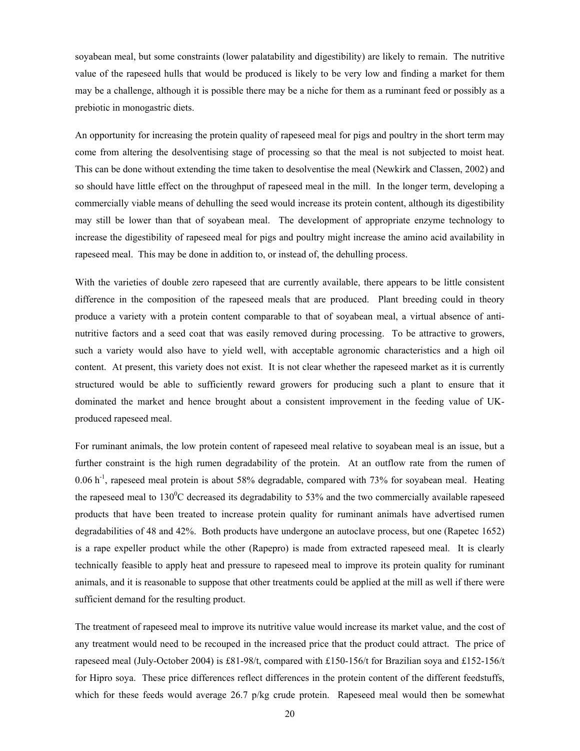soyabean meal, but some constraints (lower palatability and digestibility) are likely to remain. The nutritive value of the rapeseed hulls that would be produced is likely to be very low and finding a market for them may be a challenge, although it is possible there may be a niche for them as a ruminant feed or possibly as a prebiotic in monogastric diets.

An opportunity for increasing the protein quality of rapeseed meal for pigs and poultry in the short term may come from altering the desolventising stage of processing so that the meal is not subjected to moist heat. This can be done without extending the time taken to desolventise the meal (Newkirk and Classen, 2002) and so should have little effect on the throughput of rapeseed meal in the mill. In the longer term, developing a commercially viable means of dehulling the seed would increase its protein content, although its digestibility may still be lower than that of soyabean meal. The development of appropriate enzyme technology to increase the digestibility of rapeseed meal for pigs and poultry might increase the amino acid availability in rapeseed meal. This may be done in addition to, or instead of, the dehulling process.

With the varieties of double zero rapeseed that are currently available, there appears to be little consistent difference in the composition of the rapeseed meals that are produced. Plant breeding could in theory produce a variety with a protein content comparable to that of soyabean meal, a virtual absence of antinutritive factors and a seed coat that was easily removed during processing. To be attractive to growers, such a variety would also have to yield well, with acceptable agronomic characteristics and a high oil content. At present, this variety does not exist. It is not clear whether the rapeseed market as it is currently structured would be able to sufficiently reward growers for producing such a plant to ensure that it dominated the market and hence brought about a consistent improvement in the feeding value of UKproduced rapeseed meal.

For ruminant animals, the low protein content of rapeseed meal relative to soyabean meal is an issue, but a further constraint is the high rumen degradability of the protein. At an outflow rate from the rumen of  $0.06$  h<sup>-1</sup>, rapeseed meal protein is about 58% degradable, compared with 73% for soyabean meal. Heating the rapeseed meal to  $130^{\circ}$ C decreased its degradability to 53% and the two commercially available rapeseed products that have been treated to increase protein quality for ruminant animals have advertised rumen degradabilities of 48 and 42%. Both products have undergone an autoclave process, but one (Rapetec 1652) is a rape expeller product while the other (Rapepro) is made from extracted rapeseed meal. It is clearly technically feasible to apply heat and pressure to rapeseed meal to improve its protein quality for ruminant animals, and it is reasonable to suppose that other treatments could be applied at the mill as well if there were sufficient demand for the resulting product.

The treatment of rapeseed meal to improve its nutritive value would increase its market value, and the cost of any treatment would need to be recouped in the increased price that the product could attract. The price of rapeseed meal (July-October 2004) is £81-98/t, compared with £150-156/t for Brazilian soya and £152-156/t for Hipro soya. These price differences reflect differences in the protein content of the different feedstuffs, which for these feeds would average 26.7 p/kg crude protein. Rapeseed meal would then be somewhat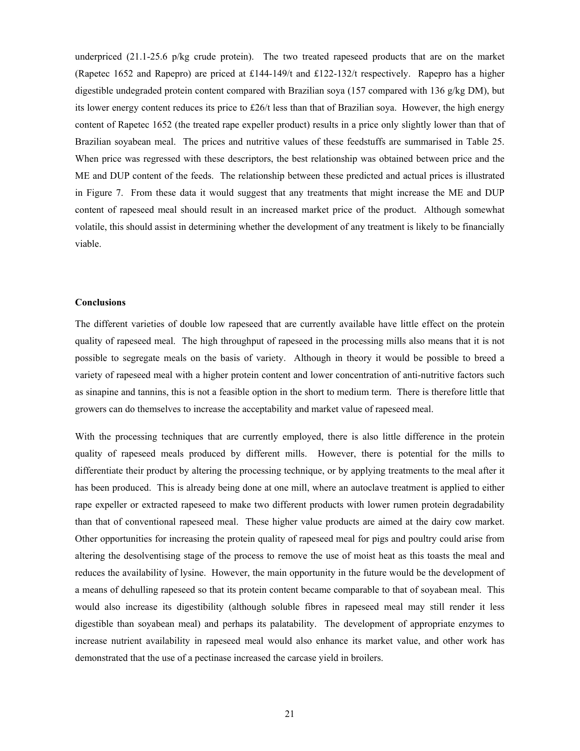underpriced (21.1-25.6 p/kg crude protein). The two treated rapeseed products that are on the market (Rapetec 1652 and Rapepro) are priced at £144-149/t and £122-132/t respectively. Rapepro has a higher digestible undegraded protein content compared with Brazilian soya (157 compared with 136 g/kg DM), but its lower energy content reduces its price to £26/t less than that of Brazilian soya. However, the high energy content of Rapetec 1652 (the treated rape expeller product) results in a price only slightly lower than that of Brazilian soyabean meal. The prices and nutritive values of these feedstuffs are summarised in Table 25. When price was regressed with these descriptors, the best relationship was obtained between price and the ME and DUP content of the feeds. The relationship between these predicted and actual prices is illustrated in Figure 7. From these data it would suggest that any treatments that might increase the ME and DUP content of rapeseed meal should result in an increased market price of the product. Although somewhat volatile, this should assist in determining whether the development of any treatment is likely to be financially viable.

#### **Conclusions**

The different varieties of double low rapeseed that are currently available have little effect on the protein quality of rapeseed meal. The high throughput of rapeseed in the processing mills also means that it is not possible to segregate meals on the basis of variety. Although in theory it would be possible to breed a variety of rapeseed meal with a higher protein content and lower concentration of anti-nutritive factors such as sinapine and tannins, this is not a feasible option in the short to medium term. There is therefore little that growers can do themselves to increase the acceptability and market value of rapeseed meal.

With the processing techniques that are currently employed, there is also little difference in the protein quality of rapeseed meals produced by different mills. However, there is potential for the mills to differentiate their product by altering the processing technique, or by applying treatments to the meal after it has been produced. This is already being done at one mill, where an autoclave treatment is applied to either rape expeller or extracted rapeseed to make two different products with lower rumen protein degradability than that of conventional rapeseed meal. These higher value products are aimed at the dairy cow market. Other opportunities for increasing the protein quality of rapeseed meal for pigs and poultry could arise from altering the desolventising stage of the process to remove the use of moist heat as this toasts the meal and reduces the availability of lysine. However, the main opportunity in the future would be the development of a means of dehulling rapeseed so that its protein content became comparable to that of soyabean meal. This would also increase its digestibility (although soluble fibres in rapeseed meal may still render it less digestible than soyabean meal) and perhaps its palatability. The development of appropriate enzymes to increase nutrient availability in rapeseed meal would also enhance its market value, and other work has demonstrated that the use of a pectinase increased the carcase yield in broilers.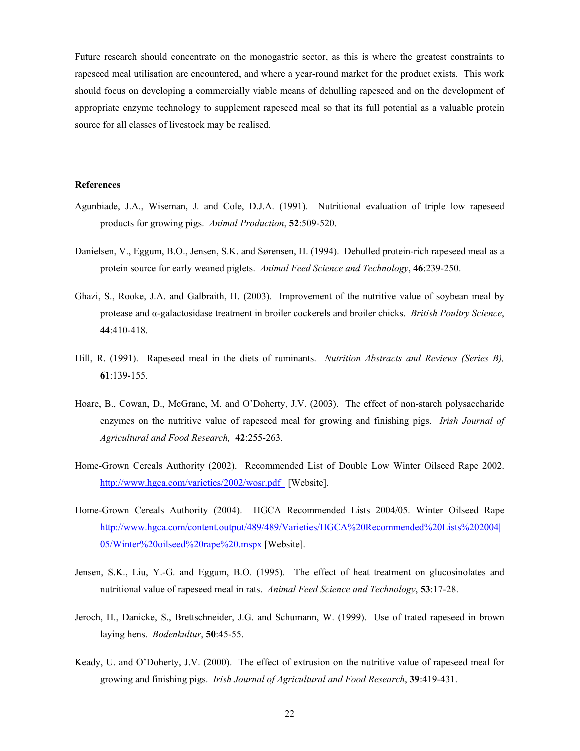Future research should concentrate on the monogastric sector, as this is where the greatest constraints to rapeseed meal utilisation are encountered, and where a year-round market for the product exists. This work should focus on developing a commercially viable means of dehulling rapeseed and on the development of appropriate enzyme technology to supplement rapeseed meal so that its full potential as a valuable protein source for all classes of livestock may be realised.

## **References**

- Agunbiade, J.A., Wiseman, J. and Cole, D.J.A. (1991). Nutritional evaluation of triple low rapeseed products for growing pigs. *Animal Production*, **52**:509-520.
- Danielsen, V., Eggum, B.O., Jensen, S.K. and Sørensen, H. (1994). Dehulled protein-rich rapeseed meal as a protein source for early weaned piglets. *Animal Feed Science and Technology*, **46**:239-250.
- Ghazi, S., Rooke, J.A. and Galbraith, H. (2003). Improvement of the nutritive value of soybean meal by protease and α-galactosidase treatment in broiler cockerels and broiler chicks. *British Poultry Science*, **44**:410-418.
- Hill, R. (1991). Rapeseed meal in the diets of ruminants. *Nutrition Abstracts and Reviews (Series B),*  **61**:139-155.
- Hoare, B., Cowan, D., McGrane, M. and O'Doherty, J.V. (2003). The effect of non-starch polysaccharide enzymes on the nutritive value of rapeseed meal for growing and finishing pigs. *Irish Journal of Agricultural and Food Research,* **42**:255-263.
- Home-Grown Cereals Authority (2002). Recommended List of Double Low Winter Oilseed Rape 2002. http://www.hgca.com/varieties/2002/wosr.pdf [Website].
- Home-Grown Cereals Authority (2004). HGCA Recommended Lists 2004/05. Winter Oilseed Rape http://www.hgca.com/content.output/489/489/Varieties/HGCA%20Recommended%20Lists%202004| 05/Winter%20oilseed%20rape%20.mspx [Website].
- Jensen, S.K., Liu, Y.-G. and Eggum, B.O. (1995). The effect of heat treatment on glucosinolates and nutritional value of rapeseed meal in rats. *Animal Feed Science and Technology*, **53**:17-28.
- Jeroch, H., Danicke, S., Brettschneider, J.G. and Schumann, W. (1999). Use of trated rapeseed in brown laying hens. *Bodenkultur*, **50**:45-55.
- Keady, U. and O'Doherty, J.V. (2000). The effect of extrusion on the nutritive value of rapeseed meal for growing and finishing pigs. *Irish Journal of Agricultural and Food Research*, **39**:419-431.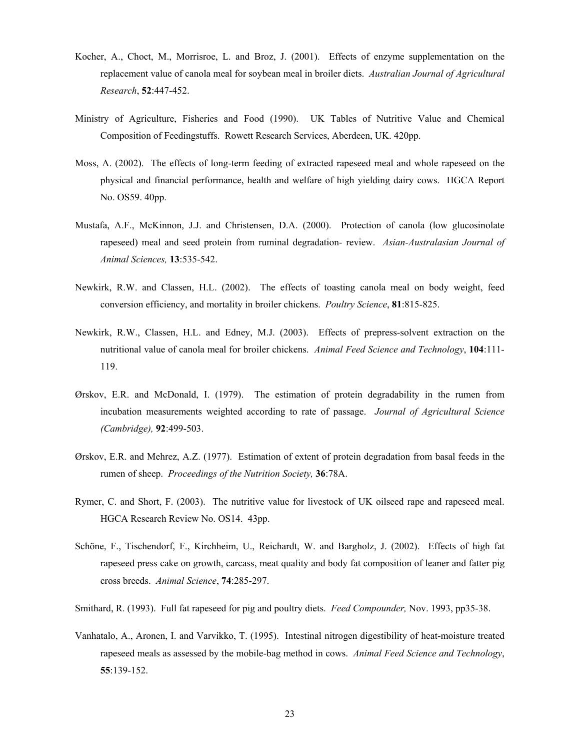- Kocher, A., Choct, M., Morrisroe, L. and Broz, J. (2001). Effects of enzyme supplementation on the replacement value of canola meal for soybean meal in broiler diets. *Australian Journal of Agricultural Research*, **52**:447-452.
- Ministry of Agriculture, Fisheries and Food (1990). UK Tables of Nutritive Value and Chemical Composition of Feedingstuffs. Rowett Research Services, Aberdeen, UK. 420pp.
- Moss, A. (2002). The effects of long-term feeding of extracted rapeseed meal and whole rapeseed on the physical and financial performance, health and welfare of high yielding dairy cows. HGCA Report No. OS59. 40pp.
- Mustafa, A.F., McKinnon, J.J. and Christensen, D.A. (2000). Protection of canola (low glucosinolate rapeseed) meal and seed protein from ruminal degradation- review. *Asian-Australasian Journal of Animal Sciences,* **13**:535-542.
- Newkirk, R.W. and Classen, H.L. (2002). The effects of toasting canola meal on body weight, feed conversion efficiency, and mortality in broiler chickens. *Poultry Science*, **81**:815-825.
- Newkirk, R.W., Classen, H.L. and Edney, M.J. (2003). Effects of prepress-solvent extraction on the nutritional value of canola meal for broiler chickens. *Animal Feed Science and Technology*, **104**:111- 119.
- Ørskov, E.R. and McDonald, I. (1979). The estimation of protein degradability in the rumen from incubation measurements weighted according to rate of passage. *Journal of Agricultural Science (Cambridge),* **92**:499-503.
- Ørskov, E.R. and Mehrez, A.Z. (1977). Estimation of extent of protein degradation from basal feeds in the rumen of sheep. *Proceedings of the Nutrition Society,* **36**:78A.
- Rymer, C. and Short, F. (2003). The nutritive value for livestock of UK oilseed rape and rapeseed meal. HGCA Research Review No. OS14. 43pp.
- Schöne, F., Tischendorf, F., Kirchheim, U., Reichardt, W. and Bargholz, J. (2002). Effects of high fat rapeseed press cake on growth, carcass, meat quality and body fat composition of leaner and fatter pig cross breeds. *Animal Science*, **74**:285-297.
- Smithard, R. (1993). Full fat rapeseed for pig and poultry diets. *Feed Compounder,* Nov. 1993, pp35-38.
- Vanhatalo, A., Aronen, I. and Varvikko, T. (1995). Intestinal nitrogen digestibility of heat-moisture treated rapeseed meals as assessed by the mobile-bag method in cows. *Animal Feed Science and Technology*, **55**:139-152.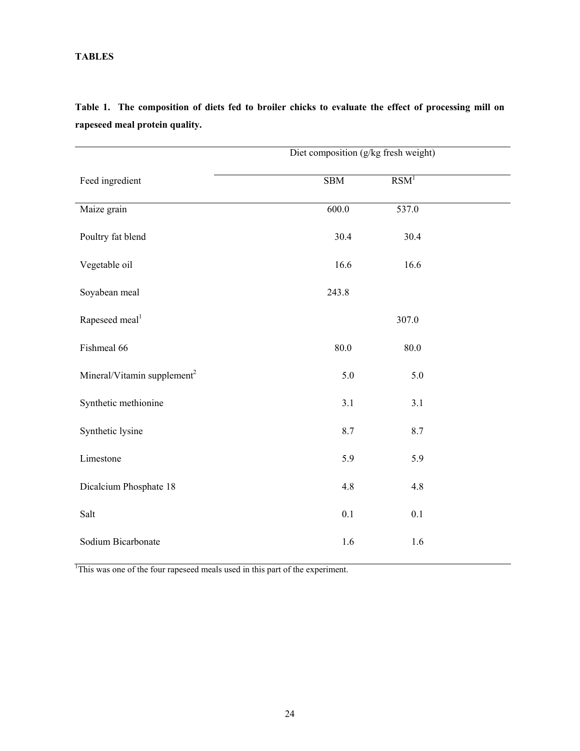# **TABLES**

|                                         | Diet composition (g/kg fresh weight) |                  |  |  |  |  |
|-----------------------------------------|--------------------------------------|------------------|--|--|--|--|
| Feed ingredient                         | SBM                                  | RSM <sup>1</sup> |  |  |  |  |
| Maize grain                             | 600.0                                | 537.0            |  |  |  |  |
| Poultry fat blend                       | 30.4                                 | 30.4             |  |  |  |  |
| Vegetable oil                           | 16.6                                 | 16.6             |  |  |  |  |
| Soyabean meal                           | 243.8                                |                  |  |  |  |  |
| Rapeseed meal <sup>1</sup>              |                                      | 307.0            |  |  |  |  |
| Fishmeal 66                             | $80.0\,$                             | 80.0             |  |  |  |  |
| Mineral/Vitamin supplement <sup>2</sup> | 5.0                                  | 5.0              |  |  |  |  |
| Synthetic methionine                    | 3.1                                  | 3.1              |  |  |  |  |
| Synthetic lysine                        | 8.7                                  | 8.7              |  |  |  |  |
| Limestone                               | 5.9                                  | 5.9              |  |  |  |  |
| Dicalcium Phosphate 18                  | 4.8                                  | 4.8              |  |  |  |  |
| Salt                                    | 0.1                                  | 0.1              |  |  |  |  |
| Sodium Bicarbonate                      | 1.6                                  | 1.6              |  |  |  |  |

**Table 1. The composition of diets fed to broiler chicks to evaluate the effect of processing mill on rapeseed meal protein quality.** 

<sup>1</sup>This was one of the four rapeseed meals used in this part of the experiment.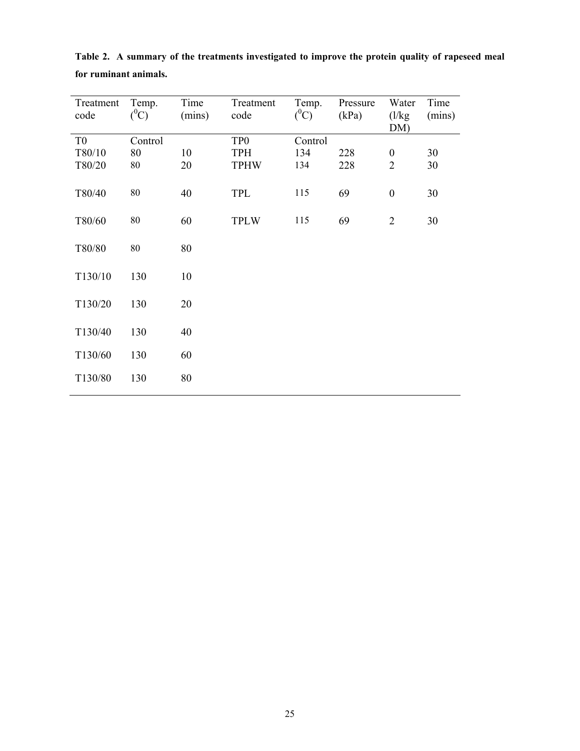| Treatment<br>code | Temp.<br>$(^0C)$ | Time<br>(mins) | Treatment<br>code | Temp.<br>$(^0C)$ | Pressure<br>(kPa) | Water<br>$\frac{1}{kg}$<br>DM) | Time<br>(mins) |
|-------------------|------------------|----------------|-------------------|------------------|-------------------|--------------------------------|----------------|
| T <sub>0</sub>    | Control          |                | TP <sub>0</sub>   | Control          |                   |                                |                |
| T80/10            | 80               | 10             | <b>TPH</b>        | 134              | 228               | $\boldsymbol{0}$               | 30             |
| T80/20            | 80               | 20             | <b>TPHW</b>       | 134              | 228               | $\overline{2}$                 | 30             |
| T80/40            | 80               | 40             | TPL               | 115              | 69                | $\boldsymbol{0}$               | 30             |
| T80/60            | $80\,$           | 60             | <b>TPLW</b>       | 115              | 69                | $\overline{2}$                 | 30             |
| T80/80            | 80               | 80             |                   |                  |                   |                                |                |
| T130/10           | 130              | 10             |                   |                  |                   |                                |                |
| T130/20           | 130              | 20             |                   |                  |                   |                                |                |
| T130/40           | 130              | 40             |                   |                  |                   |                                |                |
| T130/60           | 130              | 60             |                   |                  |                   |                                |                |
| T130/80           | 130              | 80             |                   |                  |                   |                                |                |

**Table 2. A summary of the treatments investigated to improve the protein quality of rapeseed meal for ruminant animals.**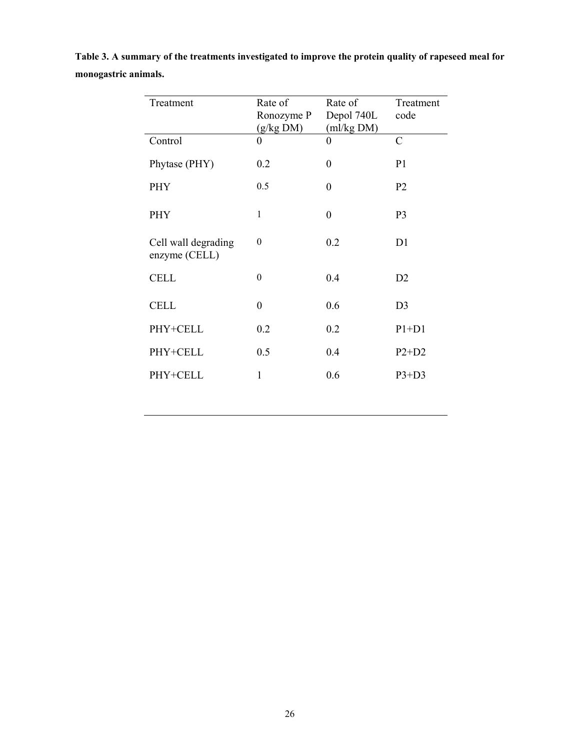| Table 3. A summary of the treatments investigated to improve the protein quality of rapeseed meal for |  |
|-------------------------------------------------------------------------------------------------------|--|
| monogastric animals.                                                                                  |  |

| Treatment                            | Rate of<br>Ronozyme P<br>(g/kg DM) | Rate of<br>Depol 740L<br>(ml/kg DM) | Treatment<br>code |
|--------------------------------------|------------------------------------|-------------------------------------|-------------------|
| Control                              | $\theta$                           | 0                                   | $\mathcal{C}$     |
| Phytase (PHY)                        | 0.2                                | $\overline{0}$                      | P <sub>1</sub>    |
| PHY                                  | 0.5                                | $\overline{0}$                      | P <sub>2</sub>    |
| PHY                                  | $\mathbf{1}$                       | $\theta$                            | P <sub>3</sub>    |
| Cell wall degrading<br>enzyme (CELL) | $\theta$                           | 0.2                                 | D1                |
| <b>CELL</b>                          | $\theta$                           | 0.4                                 | D2                |
| <b>CELL</b>                          | $\theta$                           | 0.6                                 | D <sub>3</sub>    |
| PHY+CELL                             | 0.2                                | 0.2                                 | $P1+D1$           |
| PHY+CELL                             | 0.5                                | 0.4                                 | $P2+D2$           |
| PHY+CELL                             | 1                                  | 0.6                                 | $P3+D3$           |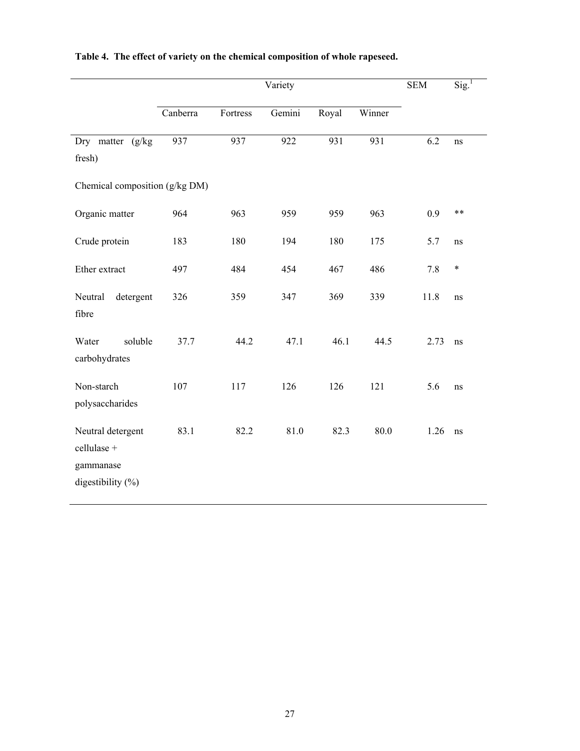|                                                                        |          |          | Variety |       |        | <b>SEM</b> | $\overline{\text{Sig.}}^1$ |
|------------------------------------------------------------------------|----------|----------|---------|-------|--------|------------|----------------------------|
|                                                                        | Canberra | Fortress | Gemini  | Royal | Winner |            |                            |
| Dry matter (g/kg)<br>fresh)                                            | 937      | 937      | 922     | 931   | 931    | 6.2        | ns                         |
| Chemical composition (g/kg DM)                                         |          |          |         |       |        |            |                            |
| Organic matter                                                         | 964      | 963      | 959     | 959   | 963    | 0.9        | **                         |
| Crude protein                                                          | 183      | 180      | 194     | 180   | 175    | 5.7        | $\rm ns$                   |
| Ether extract                                                          | 497      | 484      | 454     | 467   | 486    | 7.8        | $\ast$                     |
| Neutral<br>detergent<br>fibre                                          | 326      | 359      | 347     | 369   | 339    | 11.8       | ns                         |
| soluble<br>Water<br>carbohydrates                                      | 37.7     | 44.2     | 47.1    | 46.1  | 44.5   | 2.73       | ns                         |
| Non-starch<br>polysaccharides                                          | 107      | 117      | 126     | 126   | 121    | 5.6        | ns                         |
| Neutral detergent<br>cellulase +<br>gammanase<br>digestibility $(\% )$ | 83.1     | 82.2     | 81.0    | 82.3  | 80.0   | 1.26       | $\rm ns$                   |

# **Table 4. The effect of variety on the chemical composition of whole rapeseed.**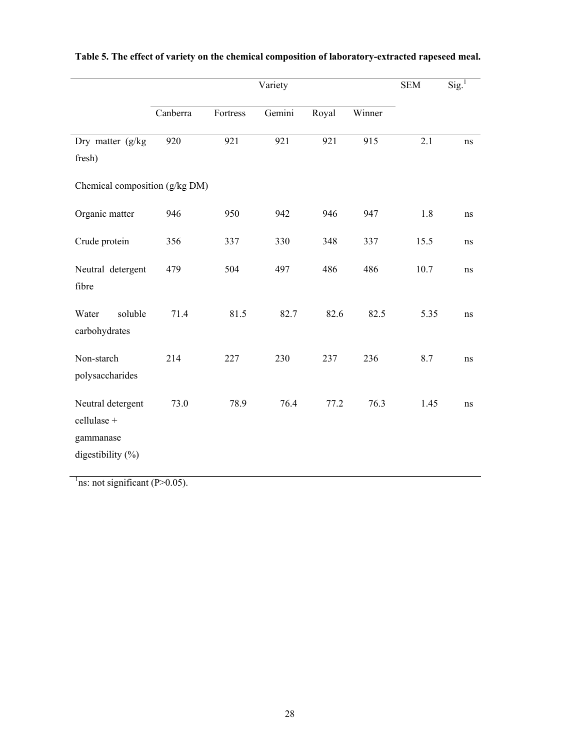|                                                                        | Variety  |                  |        |                  |                  |                  | $\text{Sig.}^1$ |
|------------------------------------------------------------------------|----------|------------------|--------|------------------|------------------|------------------|-----------------|
|                                                                        | Canberra | Fortress         | Gemini | Royal            | Winner           |                  |                 |
| Dry matter (g/kg)<br>fresh)                                            | 920      | $\overline{921}$ | 921    | $\overline{921}$ | $\overline{915}$ | $\overline{2.1}$ | ns              |
| Chemical composition (g/kg DM)                                         |          |                  |        |                  |                  |                  |                 |
| Organic matter                                                         | 946      | 950              | 942    | 946              | 947              | 1.8              | ns              |
| Crude protein                                                          | 356      | 337              | 330    | 348              | 337              | 15.5             | ns              |
| Neutral detergent<br>fibre                                             | 479      | 504              | 497    | 486              | 486              | 10.7             | ns              |
| soluble<br>Water<br>carbohydrates                                      | 71.4     | 81.5             | 82.7   | 82.6             | 82.5             | 5.35             | ns              |
| Non-starch<br>polysaccharides                                          | 214      | 227              | 230    | 237              | 236              | 8.7              | ns              |
| Neutral detergent<br>cellulase +<br>gammanase<br>digestibility $(\% )$ | 73.0     | 78.9             | 76.4   | 77.2             | 76.3             | 1.45             | ns              |

# **Table 5. The effect of variety on the chemical composition of laboratory-extracted rapeseed meal.**

 $\frac{1}{1}$ ns: not significant (P>0.05).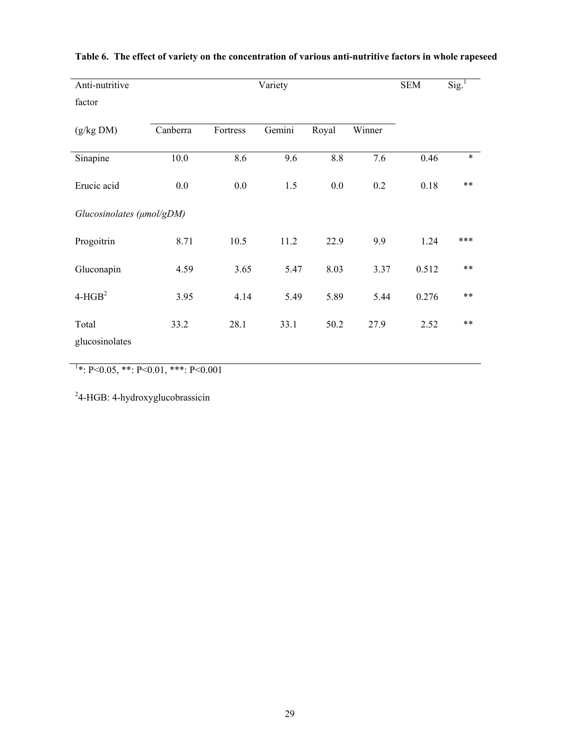| Anti-nutritive            |          |          | <b>SEM</b> | $\text{Sig.}^1$ |        |       |        |
|---------------------------|----------|----------|------------|-----------------|--------|-------|--------|
| factor                    |          |          |            |                 |        |       |        |
| (g/kg DM)                 | Canberra | Fortress | Gemini     | Royal           | Winner |       |        |
| Sinapine                  | 10.0     | 8.6      | 9.6        | 8.8             | 7.6    | 0.46  | $\ast$ |
| Erucic acid               | 0.0      | 0.0      | 1.5        | 0.0             | 0.2    | 0.18  | $***$  |
| Glucosinolates (µmol/gDM) |          |          |            |                 |        |       |        |
| Progoitrin                | 8.71     | 10.5     | 11.2       | 22.9            | 9.9    | 1.24  | ***    |
| Gluconapin                | 4.59     | 3.65     | 5.47       | 8.03            | 3.37   | 0.512 | $**$   |
| $4-HGB2$                  | 3.95     | 4.14     | 5.49       | 5.89            | 5.44   | 0.276 | $***$  |
| Total<br>glucosinolates   | 33.2     | 28.1     | 33.1       | 50.2            | 27.9   | 2.52  | $**$   |

# **Table 6. The effect of variety on the concentration of various anti-nutritive factors in whole rapeseed**

 $1*$ : P<0.05, \*\*: P<0.01, \*\*\*: P<0.001

<sup>2</sup>4-HGB: 4-hydroxyglucobrassicin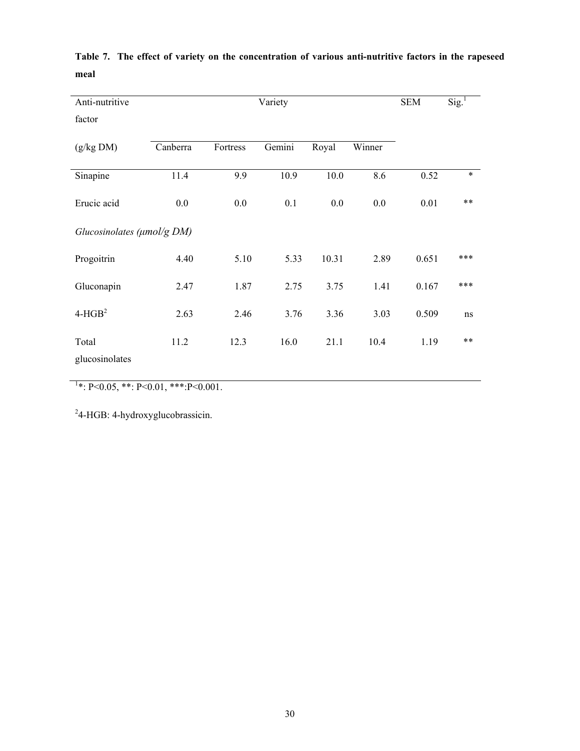| Anti-nutritive                   |          | <b>SEM</b> | Sig. <sup>1</sup> |       |        |       |        |
|----------------------------------|----------|------------|-------------------|-------|--------|-------|--------|
| factor                           |          |            |                   |       |        |       |        |
| (g/kg DM)                        | Canberra | Fortress   | Gemini            | Royal | Winner |       |        |
| Sinapine                         | 11.4     | 9.9        | 10.9              | 10.0  | 8.6    | 0.52  | $\ast$ |
| Erucic acid                      | 0.0      | 0.0        | 0.1               | 0.0   | 0.0    | 0.01  | $**$   |
| Glucosinolates ( $\mu$ mol/g DM) |          |            |                   |       |        |       |        |
| Progoitrin                       | 4.40     | 5.10       | 5.33              | 10.31 | 2.89   | 0.651 | ***    |
| Gluconapin                       | 2.47     | 1.87       | 2.75              | 3.75  | 1.41   | 0.167 | ***    |
| $4-HGB2$                         | 2.63     | 2.46       | 3.76              | 3.36  | 3.03   | 0.509 | ns     |
| Total<br>glucosinolates          | 11.2     | 12.3       | 16.0              | 21.1  | 10.4   | 1.19  | $**$   |

**Table 7. The effect of variety on the concentration of various anti-nutritive factors in the rapeseed meal** 

 $1*$ : P<0.05, \*\*: P<0.01, \*\*\*: P<0.001.

<sup>2</sup>4-HGB: 4-hydroxyglucobrassicin.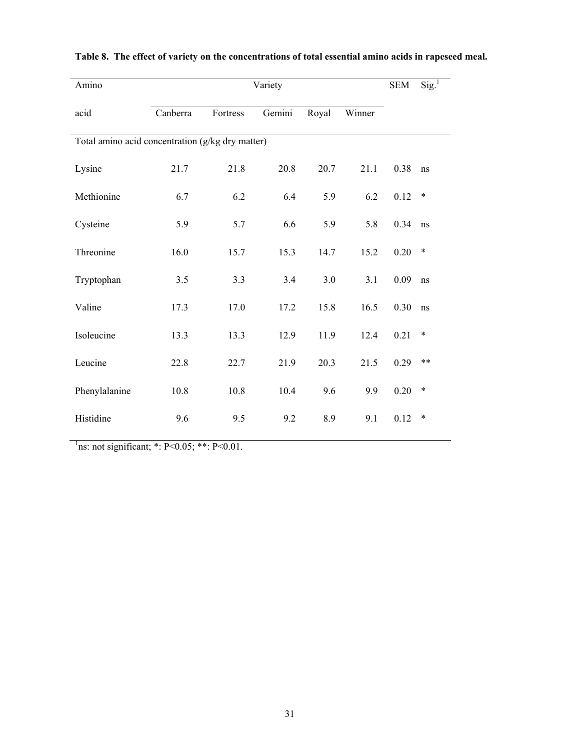| Amino                                            |          |          | Variety |       |        | <b>SEM</b> | $Sig.$ <sup>1</sup> |
|--------------------------------------------------|----------|----------|---------|-------|--------|------------|---------------------|
| acid                                             | Canberra | Fortress | Gemini  | Royal | Winner |            |                     |
| Total amino acid concentration (g/kg dry matter) |          |          |         |       |        |            |                     |
| Lysine                                           | 21.7     | 21.8     | 20.8    | 20.7  | 21.1   | 0.38       | ns                  |
| Methionine                                       | 6.7      | 6.2      | 6.4     | 5.9   | 6.2    | 0.12       | $\ast$              |
| Cysteine                                         | 5.9      | 5.7      | 6.6     | 5.9   | 5.8    | 0.34       | ns                  |
| Threonine                                        | 16.0     | 15.7     | 15.3    | 14.7  | 15.2   | 0.20       | $\ast$              |
| Tryptophan                                       | 3.5      | 3.3      | 3.4     | 3.0   | 3.1    | 0.09       | ns                  |
| Valine                                           | 17.3     | 17.0     | 17.2    | 15.8  | 16.5   | 0.30       | ns                  |
| Isoleucine                                       | 13.3     | 13.3     | 12.9    | 11.9  | 12.4   | 0.21       | $\ast$              |
| Leucine                                          | 22.8     | 22.7     | 21.9    | 20.3  | 21.5   | 0.29       | $***$               |
| Phenylalanine                                    | 10.8     | 10.8     | 10.4    | 9.6   | 9.9    | 0.20       | $\ast$              |
| Histidine                                        | 9.6      | 9.5      | 9.2     | 8.9   | 9.1    | 0.12       | $\ast$              |

# **Table 8. The effect of variety on the concentrations of total essential amino acids in rapeseed meal.**

<sup>1</sup>ns: not significant; \*: P<0.05; \*\*: P<0.01.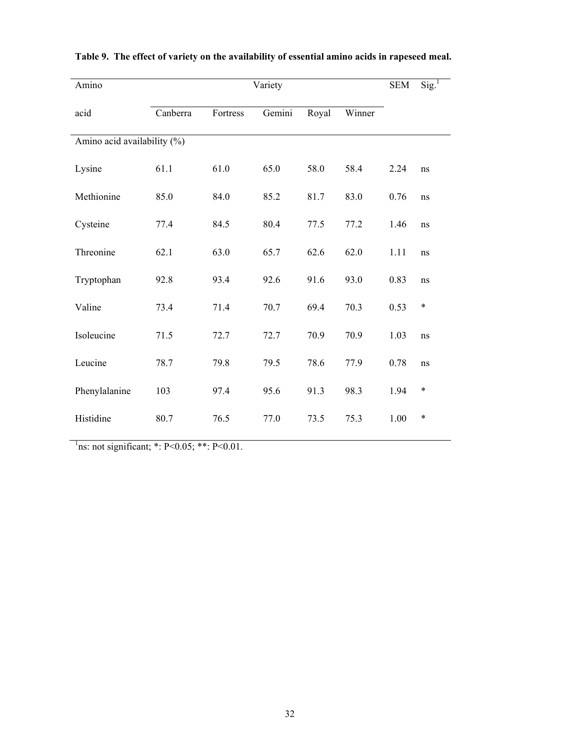| Amino                       |          |          | Variety |       |        | <b>SEM</b> | $Sig.$ <sup>1</sup> |
|-----------------------------|----------|----------|---------|-------|--------|------------|---------------------|
| acid                        | Canberra | Fortress | Gemini  | Royal | Winner |            |                     |
| Amino acid availability (%) |          |          |         |       |        |            |                     |
| Lysine                      | 61.1     | 61.0     | 65.0    | 58.0  | 58.4   | 2.24       | ns                  |
| Methionine                  | 85.0     | 84.0     | 85.2    | 81.7  | 83.0   | 0.76       | ns                  |
| Cysteine                    | 77.4     | 84.5     | 80.4    | 77.5  | 77.2   | 1.46       | ns                  |
| Threonine                   | 62.1     | 63.0     | 65.7    | 62.6  | 62.0   | 1.11       | ns                  |
| Tryptophan                  | 92.8     | 93.4     | 92.6    | 91.6  | 93.0   | 0.83       | ns                  |
| Valine                      | 73.4     | 71.4     | 70.7    | 69.4  | 70.3   | 0.53       | $\ast$              |
| Isoleucine                  | 71.5     | 72.7     | 72.7    | 70.9  | 70.9   | 1.03       | ns                  |
| Leucine                     | 78.7     | 79.8     | 79.5    | 78.6  | 77.9   | 0.78       | ns                  |
| Phenylalanine               | 103      | 97.4     | 95.6    | 91.3  | 98.3   | 1.94       | $\ast$              |
| Histidine                   | 80.7     | 76.5     | 77.0    | 73.5  | 75.3   | 1.00       | $\ast$              |

# **Table 9. The effect of variety on the availability of essential amino acids in rapeseed meal.**

<sup>1</sup>ns: not significant; \*: P<0.05; \*\*: P<0.01.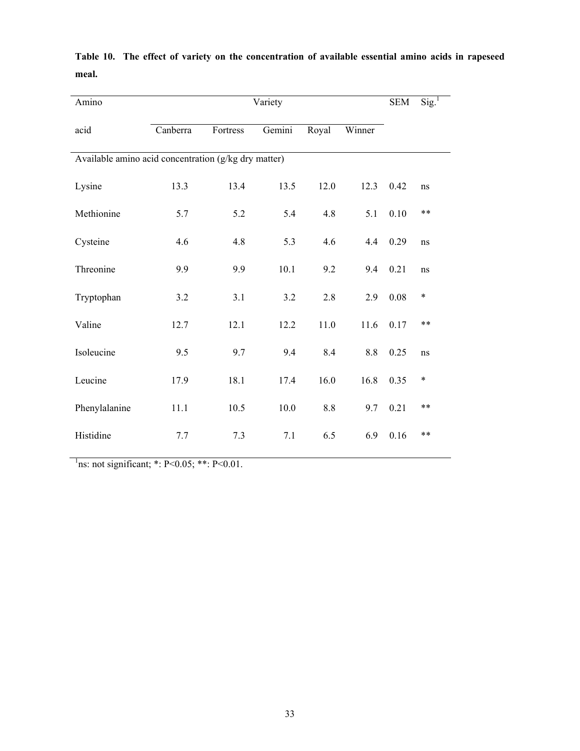| Amino                                                |          |          | Variety  |         |         | <b>SEM</b> | $Sig.$ <sup>1</sup> |
|------------------------------------------------------|----------|----------|----------|---------|---------|------------|---------------------|
| acid                                                 | Canberra | Fortress | Gemini   | Royal   | Winner  |            |                     |
| Available amino acid concentration (g/kg dry matter) |          |          |          |         |         |            |                     |
| Lysine                                               | 13.3     | 13.4     | 13.5     | 12.0    | 12.3    | 0.42       | ns                  |
| Methionine                                           | 5.7      | 5.2      | 5.4      | 4.8     | 5.1     | 0.10       | $***$               |
| Cysteine                                             | 4.6      | 4.8      | 5.3      | 4.6     | 4.4     | 0.29       | ns                  |
| Threonine                                            | 9.9      | 9.9      | 10.1     | 9.2     | 9.4     | 0.21       | ns                  |
| Tryptophan                                           | 3.2      | 3.1      | 3.2      | 2.8     | 2.9     | 0.08       | $\ast$              |
| Valine                                               | 12.7     | 12.1     | 12.2     | 11.0    | 11.6    | 0.17       | $**$                |
| Isoleucine                                           | 9.5      | 9.7      | 9.4      | 8.4     | $8.8\,$ | 0.25       | ns                  |
| Leucine                                              | 17.9     | 18.1     | 17.4     | 16.0    | 16.8    | 0.35       | $\ast$              |
| Phenylalanine                                        | 11.1     | 10.5     | $10.0\,$ | $8.8\,$ | 9.7     | 0.21       | $**$                |
| Histidine                                            | 7.7      | 7.3      | 7.1      | 6.5     | 6.9     | 0.16       | $***$               |

**Table 10. The effect of variety on the concentration of available essential amino acids in rapeseed meal.** 

<sup>1</sup>ns: not significant; \*: P<0.05; \*\*: P<0.01.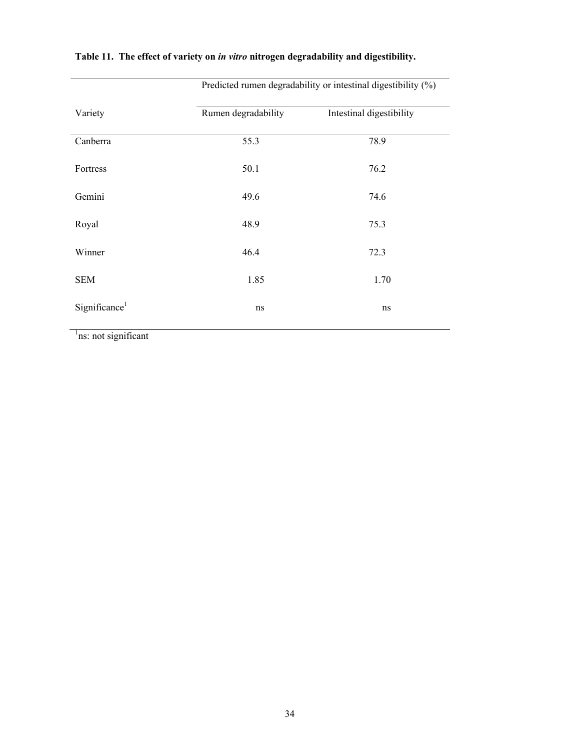| Variety                   | Rumen degradability | Intestinal digestibility |
|---------------------------|---------------------|--------------------------|
| Canberra                  | 55.3                | 78.9                     |
| Fortress                  | 50.1                | 76.2                     |
| Gemini                    | 49.6                | 74.6                     |
| Royal                     | 48.9                | 75.3                     |
| Winner                    | 46.4                | 72.3                     |
| <b>SEM</b>                | 1.85                | 1.70                     |
| Significance <sup>1</sup> | ns                  | ns                       |

# **Table 11. The effect of variety on** *in vitro* **nitrogen degradability and digestibility.**

Predicted rumen degradability or intestinal digestibility (%)

<sup>1</sup>ns: not significant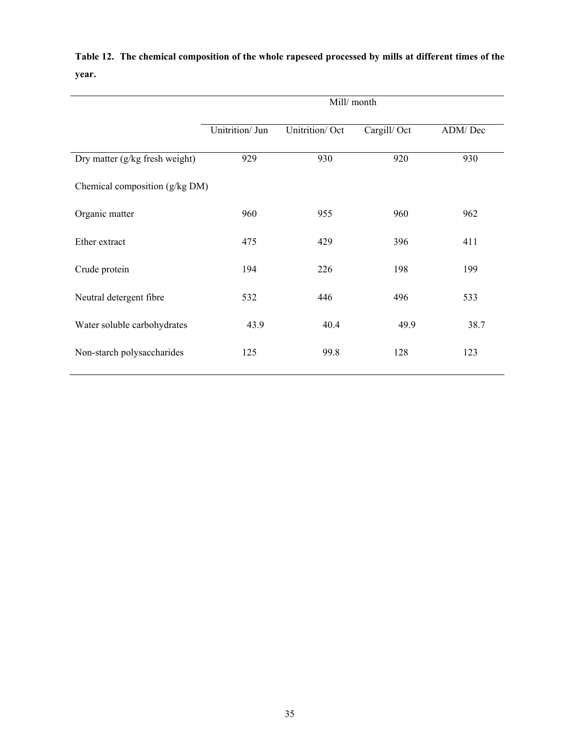|                                | Mill/month      |                |             |         |  |  |
|--------------------------------|-----------------|----------------|-------------|---------|--|--|
|                                | Unitrition/ Jun | Unitrition/Oct | Cargill/Oct | ADM/Dec |  |  |
| Dry matter (g/kg fresh weight) | 929             | 930            | 920         | 930     |  |  |
| Chemical composition (g/kg DM) |                 |                |             |         |  |  |
| Organic matter                 | 960             | 955            | 960         | 962     |  |  |
| Ether extract                  | 475             | 429            | 396         | 411     |  |  |
| Crude protein                  | 194             | 226            | 198         | 199     |  |  |
| Neutral detergent fibre        | 532             | 446            | 496         | 533     |  |  |
| Water soluble carbohydrates    | 43.9            | 40.4           | 49.9        | 38.7    |  |  |
| Non-starch polysaccharides     | 125             | 99.8           | 128         | 123     |  |  |

**Table 12. The chemical composition of the whole rapeseed processed by mills at different times of the year.**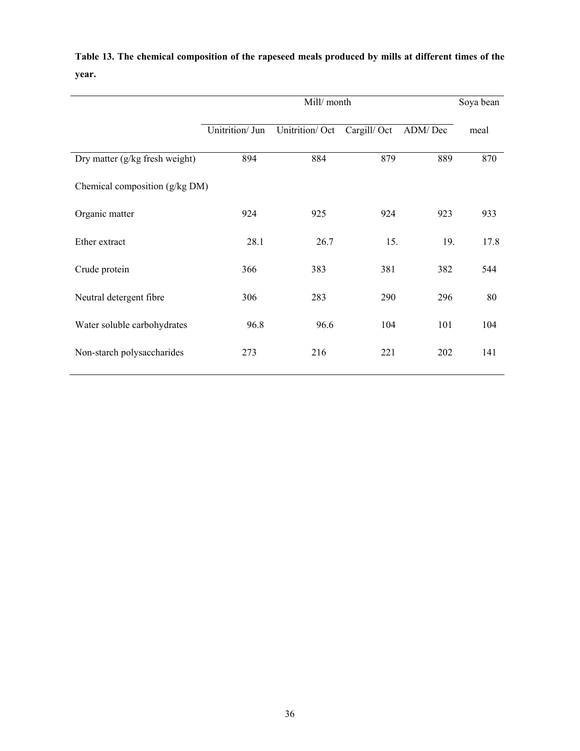|                                |                 | Mill/month     |             |         | Soya bean |
|--------------------------------|-----------------|----------------|-------------|---------|-----------|
|                                | Unitrition/ Jun | Unitrition/Oct | Cargill/Oct | ADM/Dec | meal      |
| Dry matter (g/kg fresh weight) | 894             | 884            | 879         | 889     | 870       |
| Chemical composition (g/kg DM) |                 |                |             |         |           |
| Organic matter                 | 924             | 925            | 924         | 923     | 933       |
| Ether extract                  | 28.1            | 26.7           | 15.         | 19.     | 17.8      |
| Crude protein                  | 366             | 383            | 381         | 382     | 544       |
| Neutral detergent fibre        | 306             | 283            | 290         | 296     | 80        |
| Water soluble carbohydrates    | 96.8            | 96.6           | 104         | 101     | 104       |
| Non-starch polysaccharides     | 273             | 216            | 221         | 202     | 141       |

**Table 13. The chemical composition of the rapeseed meals produced by mills at different times of the year.**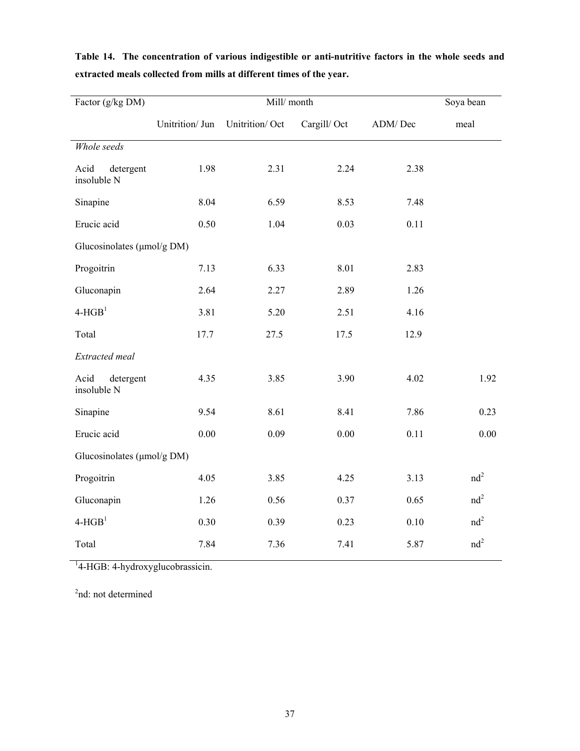| Factor (g/kg DM)                  |                 | Soya bean      |             |         |                 |
|-----------------------------------|-----------------|----------------|-------------|---------|-----------------|
|                                   | Unitrition/ Jun | Unitrition/Oct | Cargill/Oct | ADM/Dec | meal            |
| Whole seeds                       |                 |                |             |         |                 |
| detergent<br>Acid<br>insoluble N  | 1.98            | 2.31           | 2.24        | 2.38    |                 |
| Sinapine                          | 8.04            | 6.59           | 8.53        | 7.48    |                 |
| Erucic acid                       | 0.50            | 1.04           | 0.03        | 0.11    |                 |
| Glucosinolates (µmol/g DM)        |                 |                |             |         |                 |
| Progoitrin                        | 7.13            | 6.33           | 8.01        | 2.83    |                 |
| Gluconapin                        | 2.64            | 2.27           | 2.89        | 1.26    |                 |
| $4-HGB1$                          | 3.81            | 5.20           | 2.51        | 4.16    |                 |
| Total                             | 17.7            | 27.5           | 17.5        | 12.9    |                 |
| Extracted meal                    |                 |                |             |         |                 |
| Acid<br>detergent<br>insoluble N  | 4.35            | 3.85           | 3.90        | 4.02    | 1.92            |
| Sinapine                          | 9.54            | 8.61           | 8.41        | 7.86    | 0.23            |
| Erucic acid                       | 0.00            | 0.09           | 0.00        | 0.11    | 0.00            |
| Glucosinolates ( $\mu$ mol/g DM)  |                 |                |             |         |                 |
| Progoitrin                        | 4.05            | 3.85           | 4.25        | 3.13    | nd <sup>2</sup> |
| Gluconapin                        | 1.26            | 0.56           | 0.37        | 0.65    | nd <sup>2</sup> |
| $\operatorname{\mathsf{4-HGB}}^1$ | 0.30            | 0.39           | 0.23        | 0.10    | nd <sup>2</sup> |
| Total                             | 7.84            | 7.36           | 7.41        | 5.87    | nd <sup>2</sup> |

**Table 14. The concentration of various indigestible or anti-nutritive factors in the whole seeds and extracted meals collected from mills at different times of the year.** 

<sup>1</sup>4-HGB: 4-hydroxyglucobrassicin.

2 nd: not determined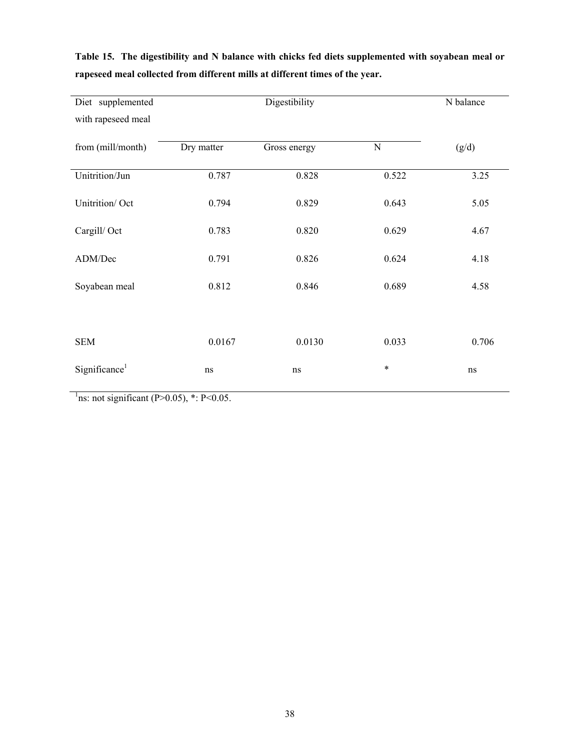| Diet supplemented         |            | Digestibility |           | N balance |
|---------------------------|------------|---------------|-----------|-----------|
| with rapeseed meal        |            |               |           |           |
| from (mill/month)         | Dry matter | Gross energy  | ${\bf N}$ | (g/d)     |
| Unitrition/Jun            | 0.787      | 0.828         | 0.522     | 3.25      |
| Unitrition/Oct            | 0.794      | 0.829         | 0.643     | 5.05      |
| Cargill/Oct               | 0.783      | 0.820         | 0.629     | 4.67      |
| ADM/Dec                   | 0.791      | 0.826         | 0.624     | 4.18      |
| Soyabean meal             | 0.812      | 0.846         | 0.689     | 4.58      |
|                           |            |               |           |           |
| <b>SEM</b>                | 0.0167     | 0.0130        | 0.033     | 0.706     |
| Significance <sup>1</sup> | ns         | ns            | $\ast$    | ns        |

**Table 15. The digestibility and N balance with chicks fed diets supplemented with soyabean meal or rapeseed meal collected from different mills at different times of the year.** 

<sup>1</sup>ns: not significant (P>0.05), \*: P<0.05.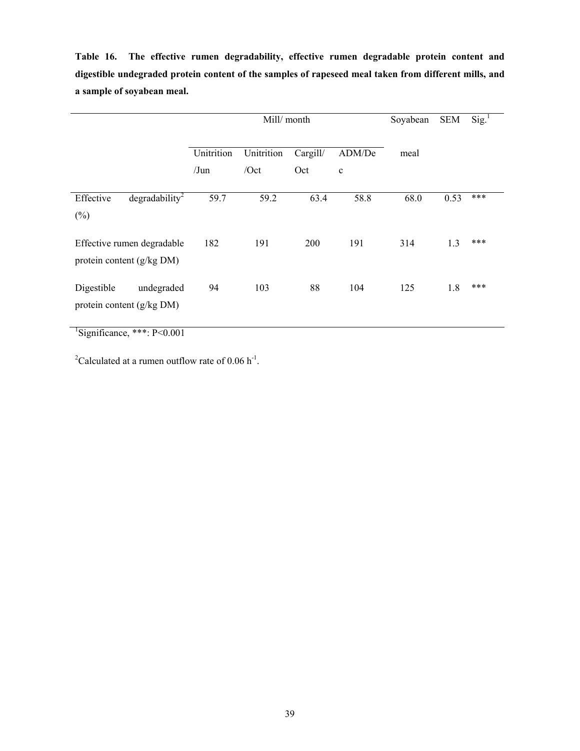**Table 16. The effective rumen degradability, effective rumen degradable protein content and digestible undegraded protein content of the samples of rapeseed meal taken from different mills, and a sample of soyabean meal.** 

|                                                         |                       | Mill/ month        |                 |                       |      | <b>SEM</b> | $\text{Sig.}^1$ |
|---------------------------------------------------------|-----------------------|--------------------|-----------------|-----------------------|------|------------|-----------------|
|                                                         | Unitrition<br>$/J$ un | Unitrition<br>/Oct | Cargill/<br>Oct | ADM/De<br>$\mathbf c$ | meal |            |                 |
| degradability <sup>2</sup><br>Effective<br>$(\%)$       | 59.7                  | 59.2               | 63.4            | 58.8                  | 68.0 | 0.53       | ***             |
| Effective rumen degradable<br>protein content (g/kg DM) | 182                   | 191                | 200             | 191                   | 314  | 1.3        | ***             |
| Digestible<br>undegraded<br>protein content (g/kg DM)   | 94                    | 103                | 88              | 104                   | 125  | 1.8        | ***             |

 ${}^{1}$ Significance, \*\*\*: P<0.001

<sup>2</sup>Calculated at a rumen outflow rate of 0.06 h<sup>-1</sup>.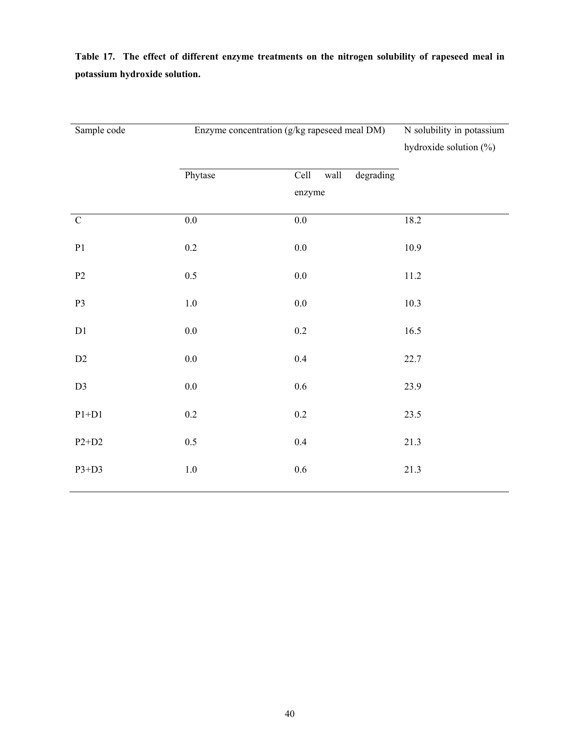**Table 17. The effect of different enzyme treatments on the nitrogen solubility of rapeseed meal in potassium hydroxide solution.** 

| Sample code   | Enzyme concentration (g/kg rapeseed meal DM) | N solubility in potassium<br>hydroxide solution $(\%)$ |          |
|---------------|----------------------------------------------|--------------------------------------------------------|----------|
|               | Phytase                                      | degrading<br>Cell<br>wall                              |          |
|               |                                              | enzyme                                                 |          |
| ${\bf C}$     | $0.0\,$                                      | $0.0\,$                                                | 18.2     |
| $\mathbf{P}1$ | $0.2\,$                                      | $0.0\,$                                                | 10.9     |
| $\mathbf{P2}$ | 0.5                                          | $0.0\,$                                                | $11.2\,$ |
| P3            | $1.0\,$                                      | $0.0\,$                                                | 10.3     |
| $\mathbf{D}1$ | $0.0\,$                                      | $0.2\,$                                                | 16.5     |
| $\rm{D}2$     | $0.0\,$                                      | $0.4\,$                                                | 22.7     |
| $\mathbf{D}3$ | $0.0\,$                                      | $0.6\,$                                                | 23.9     |
| $P1+D1$       | $0.2\,$                                      | $0.2\,$                                                | 23.5     |
| $P2+D2$       | 0.5                                          | $0.4\,$                                                | 21.3     |
| $P3+D3$       | $1.0\,$                                      | $0.6\,$                                                | 21.3     |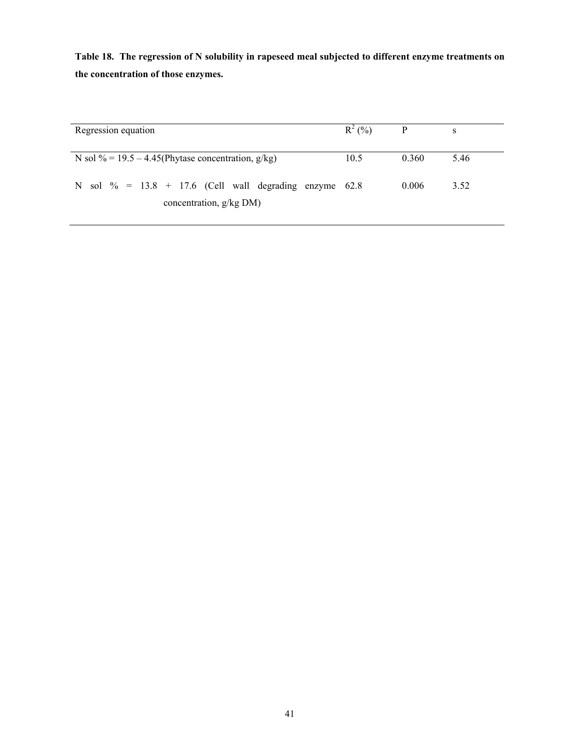**Table 18. The regression of N solubility in rapeseed meal subjected to different enzyme treatments on the concentration of those enzymes.** 

| Regression equation                                       | $R^2(%)$ | $\mathbf{P}$ | S    |
|-----------------------------------------------------------|----------|--------------|------|
| N sol $\%$ = 19.5 – 4.45(Phytase concentration, g/kg)     | 10.5     | 0.360        | 5.46 |
| N sol $\%$ = 13.8 + 17.6 (Cell wall degrading enzyme 62.8 |          | 0.006        | 3.52 |
| concentration, g/kg DM)                                   |          |              |      |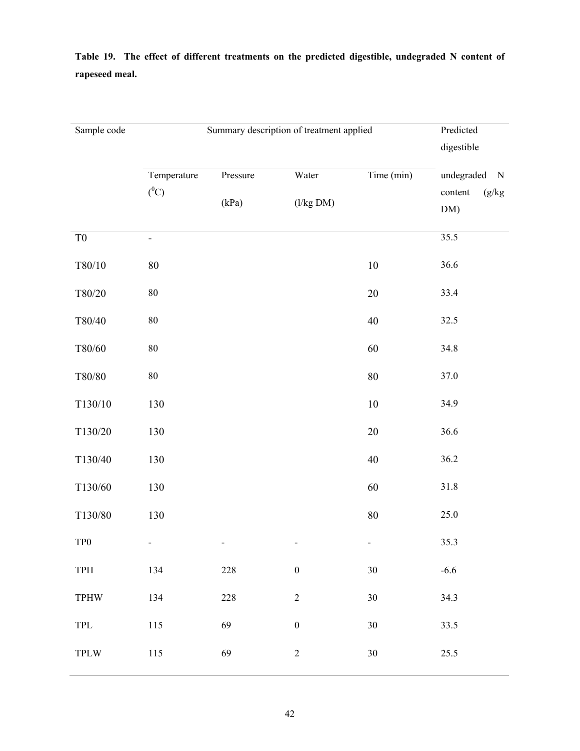| Sample code                 |                        | Summary description of treatment applied | Predicted<br>digestible |            |                                                       |
|-----------------------------|------------------------|------------------------------------------|-------------------------|------------|-------------------------------------------------------|
|                             | Temperature<br>$(^0C)$ | Pressure<br>(kPa)                        | Water<br>(l/kg DM)      | Time (min) | undegraded<br>$\mathbf N$<br>(g/kg)<br>content<br>DM) |
| T <sub>0</sub>              | -                      |                                          |                         |            | 35.5                                                  |
| T80/10                      | $80\,$                 |                                          |                         | $10\,$     | 36.6                                                  |
| T80/20                      | $80\,$                 |                                          |                         | $20\,$     | 33.4                                                  |
| T80/40                      | $80\,$                 |                                          |                         | 40         | 32.5                                                  |
| $T80/60$                    | $80\,$                 |                                          |                         | 60         | 34.8                                                  |
| $\rm T80/80$                | $80\,$                 |                                          |                         | $80\,$     | 37.0                                                  |
| T130/10                     | 130                    |                                          |                         | $10\,$     | 34.9                                                  |
| T130/20                     | 130                    |                                          |                         | $20\,$     | 36.6                                                  |
| T130/40                     | 130                    |                                          |                         | $40\,$     | 36.2                                                  |
| T130/60                     | 130                    |                                          |                         | 60         | 31.8                                                  |
| T130/80                     | 130                    |                                          |                         | $80\,$     | 25.0                                                  |
| TP <sub>0</sub>             |                        |                                          |                         | -          | 35.3                                                  |
| TPH                         | 134                    | 228                                      | $\boldsymbol{0}$        | $30\,$     | $-6.6$                                                |
| <b>TPHW</b>                 | 134                    | 228                                      | $\overline{2}$          | $30\,$     | 34.3                                                  |
| $\ensuremath{\mathsf{TPL}}$ | 115                    | 69                                       | $\boldsymbol{0}$        | $30\,$     | 33.5                                                  |
| $\operatorname{TPLW}$       | $115\,$                | 69                                       | $\overline{c}$          | $30\,$     | 25.5                                                  |

**Table 19. The effect of different treatments on the predicted digestible, undegraded N content of rapeseed meal.**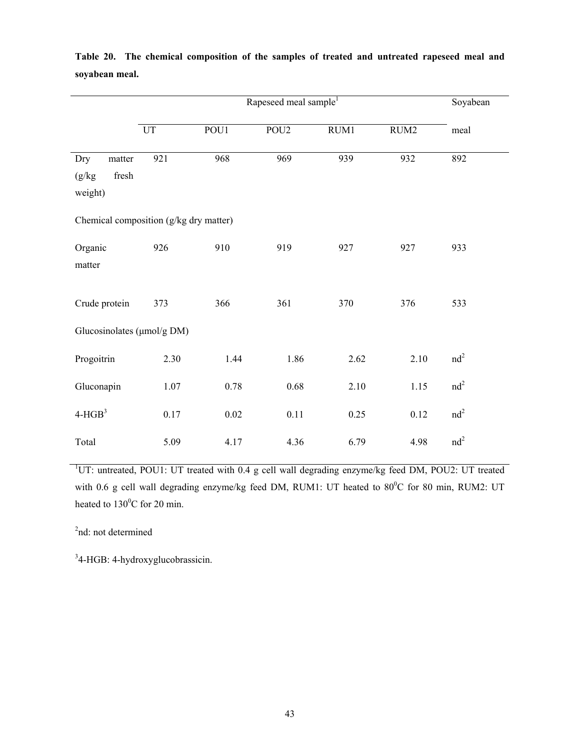|                                           |                   | Soyabean |                  |      |      |                 |
|-------------------------------------------|-------------------|----------|------------------|------|------|-----------------|
|                                           | $\mathop{\rm UT}$ | POU1     | POU <sub>2</sub> | RUM1 | RUM2 | meal            |
| Dry<br>$\!$<br>(g/kg)<br>fresh<br>weight) | 921               | 968      | 969              | 939  | 932  | 892             |
| Chemical composition (g/kg dry matter)    |                   |          |                  |      |      |                 |
| Organic<br>matter                         | 926               | 910      | 919              | 927  | 927  | 933             |
| Crude protein                             | 373               | 366      | 361              | 370  | 376  | 533             |
| Glucosinolates (µmol/g DM)                |                   |          |                  |      |      |                 |
| Progoitrin                                | 2.30              | 1.44     | 1.86             | 2.62 | 2.10 | $nd^2$          |
| Gluconapin                                | 1.07              | 0.78     | 0.68             | 2.10 | 1.15 | $nd^2$          |
| $4-HGB3$                                  | 0.17              | $0.02\,$ | 0.11             | 0.25 | 0.12 | nd <sup>2</sup> |
| Total                                     | 5.09              | 4.17     | 4.36             | 6.79 | 4.98 | nd <sup>2</sup> |

**Table 20. The chemical composition of the samples of treated and untreated rapeseed meal and soyabean meal.** 

<sup>1</sup>UT: untreated, POU1: UT treated with 0.4 g cell wall degrading enzyme/kg feed DM, POU2: UT treated with 0.6 g cell wall degrading enzyme/kg feed DM, RUM1: UT heated to  $80^{\circ}$ C for 80 min, RUM2: UT heated to  $130^{\circ}$ C for 20 min.

2 nd: not determined

<sup>3</sup>4-HGB: 4-hydroxyglucobrassicin.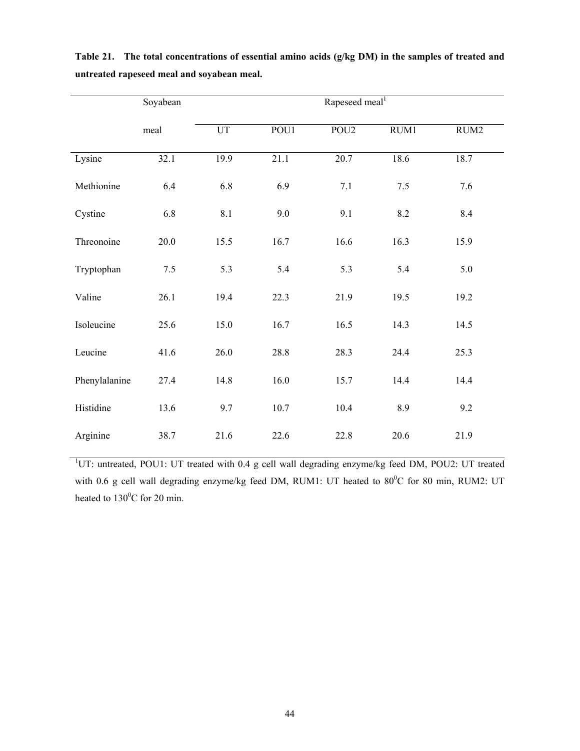|               | Soyabean |      | Rapeseed meal <sup>1</sup> |                  |       |      |
|---------------|----------|------|----------------------------|------------------|-------|------|
|               | meal     | UT   | POU1                       | POU <sub>2</sub> | RUM1  | RUM2 |
| Lysine        | 32.1     | 19.9 | 21.1                       | 20.7             | 18.6  | 18.7 |
| Methionine    | 6.4      | 6.8  | 6.9                        | $7.1\,$          | $7.5$ | 7.6  |
| Cystine       | 6.8      | 8.1  | 9.0                        | 9.1              | 8.2   | 8.4  |
| Threonoine    | 20.0     | 15.5 | 16.7                       | 16.6             | 16.3  | 15.9 |
| Tryptophan    | 7.5      | 5.3  | 5.4                        | 5.3              | 5.4   | 5.0  |
| Valine        | 26.1     | 19.4 | 22.3                       | 21.9             | 19.5  | 19.2 |
| Isoleucine    | 25.6     | 15.0 | 16.7                       | 16.5             | 14.3  | 14.5 |
| Leucine       | 41.6     | 26.0 | 28.8                       | 28.3             | 24.4  | 25.3 |
| Phenylalanine | 27.4     | 14.8 | 16.0                       | 15.7             | 14.4  | 14.4 |
| Histidine     | 13.6     | 9.7  | 10.7                       | 10.4             | 8.9   | 9.2  |
| Arginine      | 38.7     | 21.6 | 22.6                       | 22.8             | 20.6  | 21.9 |

**Table 21. The total concentrations of essential amino acids (g/kg DM) in the samples of treated and untreated rapeseed meal and soyabean meal.** 

<sup>1</sup>UT: untreated, POU1: UT treated with 0.4 g cell wall degrading enzyme/kg feed DM, POU2: UT treated with 0.6 g cell wall degrading enzyme/kg feed DM, RUM1: UT heated to  $80^{\circ}$ C for 80 min, RUM2: UT heated to  $130^{\circ}$ C for 20 min.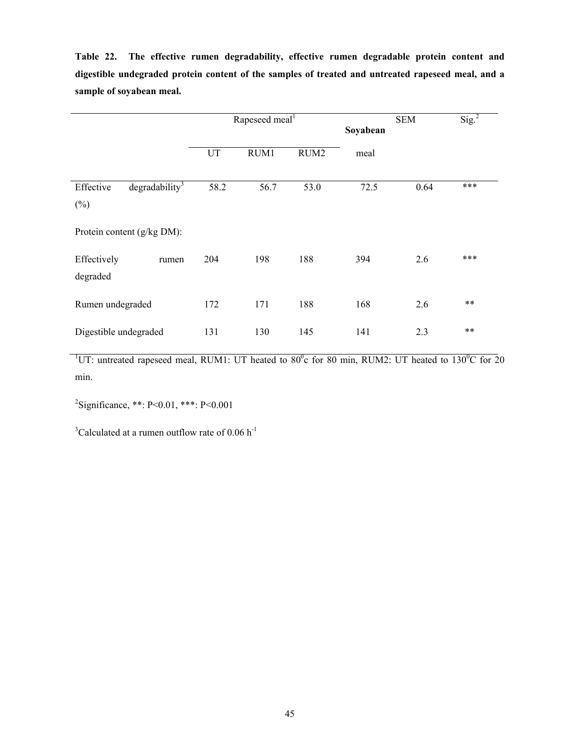**Table 22. The effective rumen degradability, effective rumen degradable protein content and digestible undegraded protein content of the samples of treated and untreated rapeseed meal, and a sample of soyabean meal.** 

|                                                   | Rapeseed meal <sup>1</sup> |      |      | Soyabean | <b>SEM</b> | Sig. <sup>2</sup> |
|---------------------------------------------------|----------------------------|------|------|----------|------------|-------------------|
|                                                   | UT                         | RUM1 | RUM2 | meal     |            |                   |
| degradability <sup>3</sup><br>Effective<br>$(\%)$ | 58.2                       | 56.7 | 53.0 | 72.5     | 0.64       | ***               |
| Protein content (g/kg DM):                        |                            |      |      |          |            |                   |
| Effectively<br>rumen<br>degraded                  | 204                        | 198  | 188  | 394      | 2.6        | ***               |
| Rumen undegraded                                  | 172                        | 171  | 188  | 168      | 2.6        | $***$             |
| Digestible undegraded                             | 131                        | 130  | 145  | 141      | 2.3        | $**$              |

<sup>1</sup>UT: untreated rapeseed meal, RUM1: UT heated to  $80^{\circ}$ c for 80 min, RUM2: UT heated to 130<sup>o</sup>C for 20 min.

 $2^2$ Significance, \*\*: P<0.01, \*\*\*: P<0.001

 $3$ Calculated at a rumen outflow rate of 0.06 h<sup>-1</sup>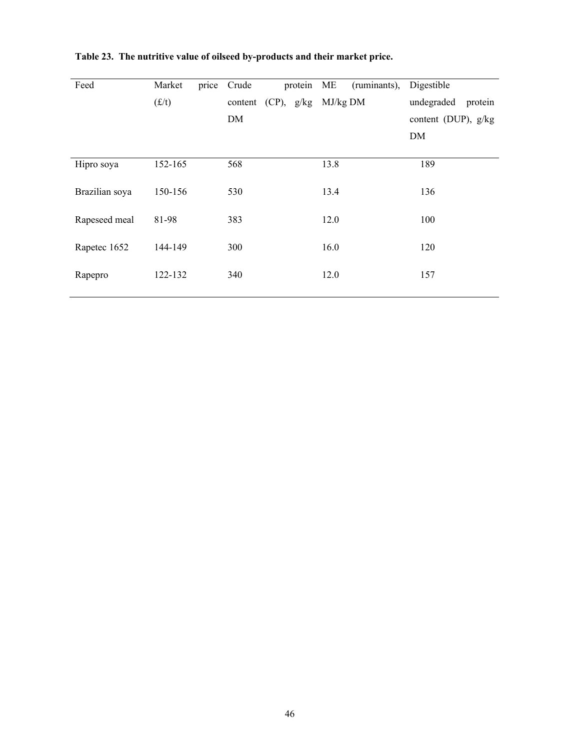| Feed           | Market  | price | Crude                   | protein ME |  |            | (ruminants), | Digestible          |         |
|----------------|---------|-------|-------------------------|------------|--|------------|--------------|---------------------|---------|
|                | (f/t)   |       | content $(CP)$ , $g/kg$ |            |  | $MJ/kg$ DM |              | undegraded          | protein |
|                |         |       | DM                      |            |  |            |              | content (DUP), g/kg |         |
|                |         |       |                         |            |  |            |              | DM                  |         |
|                |         |       |                         |            |  |            |              |                     |         |
| Hipro soya     | 152-165 |       | 568                     |            |  | 13.8       |              | 189                 |         |
| Brazilian soya | 150-156 |       | 530                     |            |  | 13.4       |              | 136                 |         |
|                |         |       |                         |            |  |            |              |                     |         |
| Rapeseed meal  | 81-98   |       | 383                     |            |  | 12.0       |              | 100                 |         |
|                |         |       |                         |            |  |            |              |                     |         |
| Rapetec 1652   | 144-149 |       | 300                     |            |  | 16.0       |              | 120                 |         |
| Rapepro        | 122-132 |       | 340                     |            |  | 12.0       |              | 157                 |         |
|                |         |       |                         |            |  |            |              |                     |         |

**Table 23. The nutritive value of oilseed by-products and their market price.**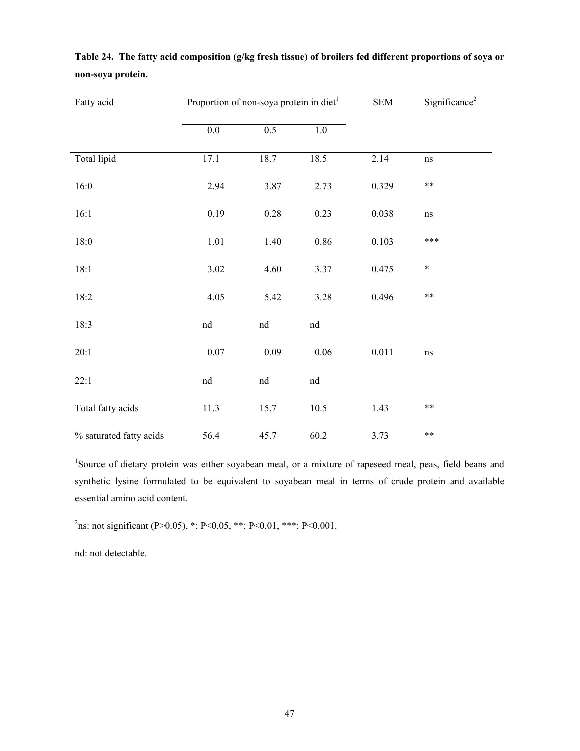| Fatty acid              | Proportion of non-soya protein in diet <sup>1</sup> |      | <b>SEM</b> | Significance <sup>2</sup> |          |
|-------------------------|-----------------------------------------------------|------|------------|---------------------------|----------|
|                         | $0.0\,$                                             | 0.5  | 1.0        |                           |          |
| Total lipid             | 17.1                                                | 18.7 | 18.5       | 2.14                      | ns       |
| 16:0                    | 2.94                                                | 3.87 | 2.73       | 0.329                     | $***$    |
| 16:1                    | 0.19                                                | 0.28 | 0.23       | 0.038                     | $\rm ns$ |
| 18:0                    | 1.01                                                | 1.40 | 0.86       | 0.103                     | ***      |
| 18:1                    | 3.02                                                | 4.60 | 3.37       | 0.475                     | $\ast$   |
| 18:2                    | 4.05                                                | 5.42 | 3.28       | 0.496                     | $***$    |
| 18:3                    | nd                                                  | nd   | nd         |                           |          |
| 20:1                    | $0.07\,$                                            | 0.09 | 0.06       | 0.011                     | $\rm ns$ |
| 22:1                    | nd                                                  | nd   | nd         |                           |          |
| Total fatty acids       | 11.3                                                | 15.7 | 10.5       | 1.43                      | $***$    |
| % saturated fatty acids | 56.4                                                | 45.7 | 60.2       | 3.73                      | $***$    |

**Table 24. The fatty acid composition (g/kg fresh tissue) of broilers fed different proportions of soya or non-soya protein.** 

<sup>1</sup>Source of dietary protein was either soyabean meal, or a mixture of rapeseed meal, peas, field beans and synthetic lysine formulated to be equivalent to soyabean meal in terms of crude protein and available essential amino acid content.

<sup>2</sup>ns: not significant (P>0.05), \*: P<0.05, \*\*: P<0.01, \*\*\*: P<0.001.

nd: not detectable.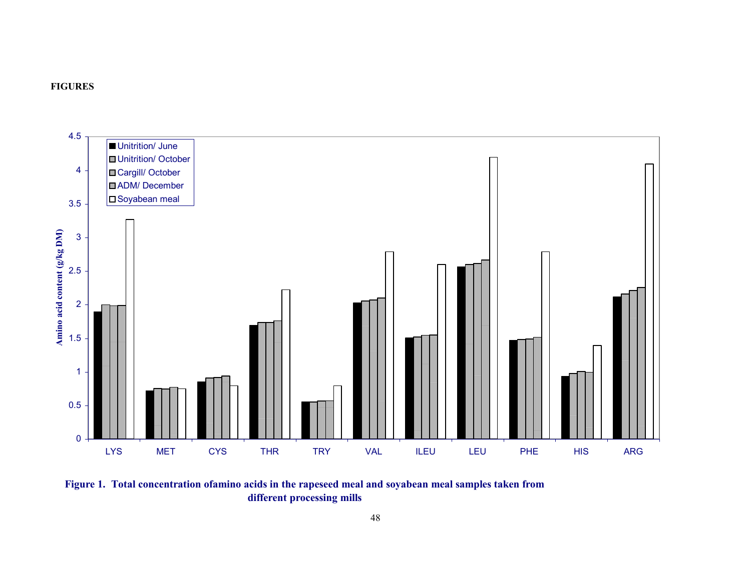



**Figure 1. Total concentration ofamino acids in the rapeseed meal and soyabean meal samples taken from different processing mills**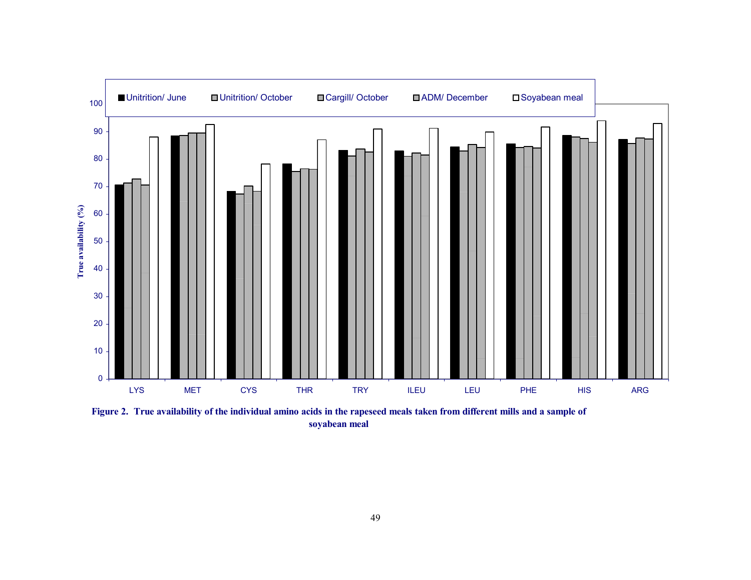

**Figure 2. True availability of the individual amino acids in the rapeseed meals taken from different mills and a sample of soyabean meal**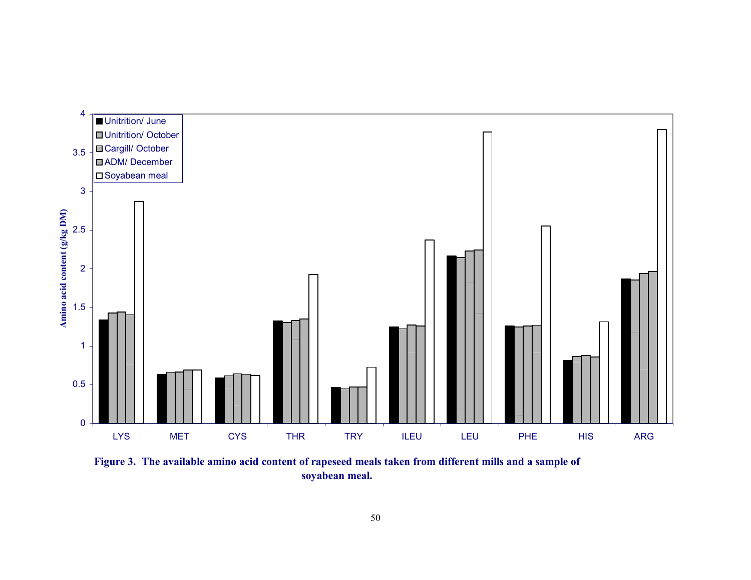

**Figure 3. The available amino acid content of rapeseed meals taken from different mills and a sample of soyabean meal.**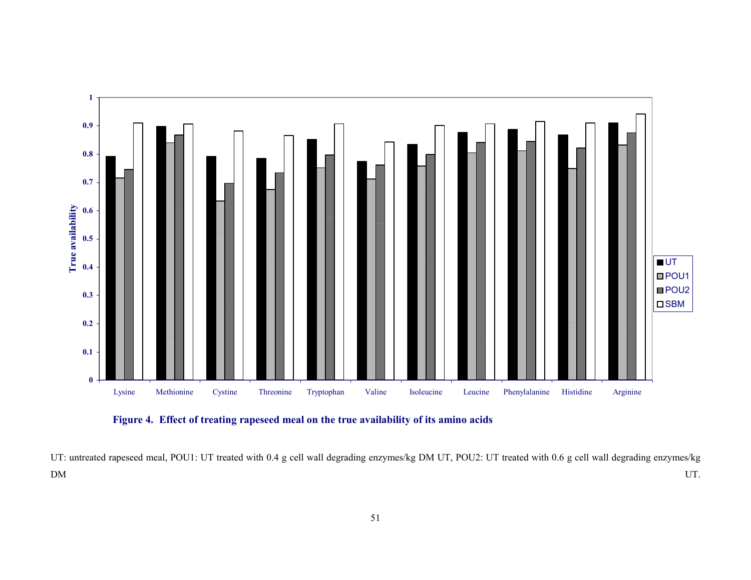



UT: untreated rapeseed meal, POU1: UT treated with 0.4 g cell wall degrading enzymes/kg DM UT, POU2: UT treated with 0.6 g cell wall degrading enzymes/kg DM UT.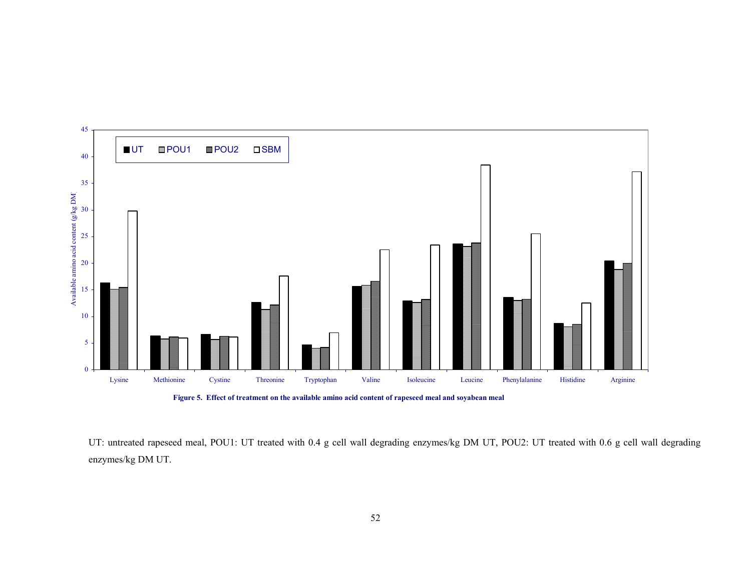



UT: untreated rapeseed meal, POU1: UT treated with 0.4 g cell wall degrading enzymes/kg DM UT, POU2: UT treated with 0.6 g cell wall degrading enzymes/kg DM UT.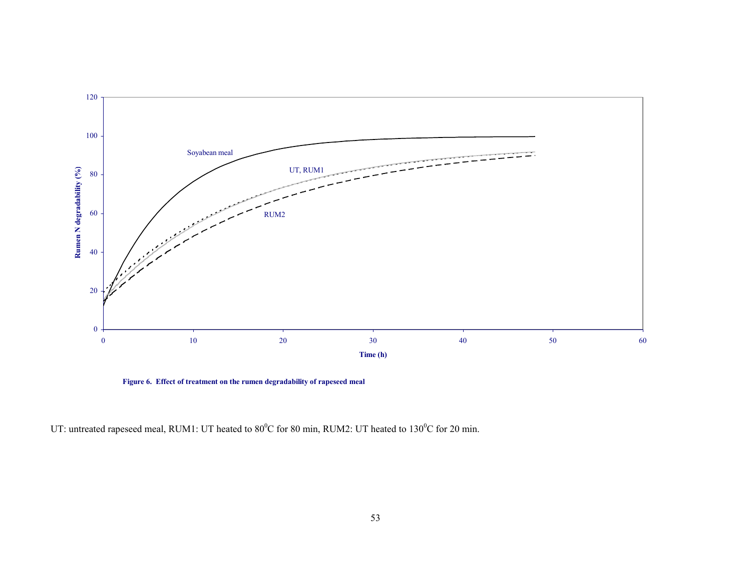

**Figure 6. Effect of treatment on the rumen degradability of rapeseed meal**

UT: untreated rapeseed meal, RUM1: UT heated to 80<sup>o</sup>C for 80 min, RUM2: UT heated to 130<sup>o</sup>C for 20 min.